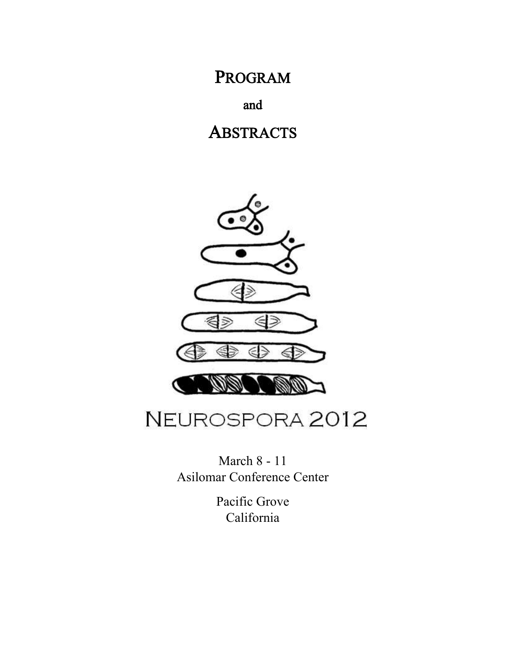PROGRAM

and

## **ABSTRACTS**



# NEUROSPORA 2012

March 8 - 11 Asilomar Conference Center

> Pacific Grove California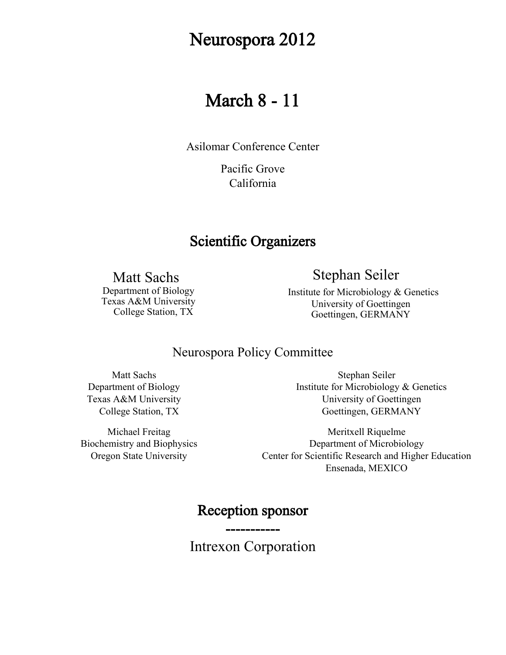## Neurospora 2012

## March 8 - 11

Asilomar Conference Center

Pacific Grove California

## Scientific Organizers

Matt Sachs

Stephan Seiler

Department of Biology Texas A&M University College Station, TX

 Institute for Microbiology & Genetics University of Goettingen Goettingen, GERMANY

### Neurospora Policy Committee

Matt Sachs Department of Biology Texas A&M University College Station, TX

Michael Freitag Biochemistry and Biophysics Oregon State University

Stephan Seiler Institute for Microbiology & Genetics University of Goettingen Goettingen, GERMANY

Meritxell Riquelme Department of Microbiology Center for Scientific Research and Higher Education Ensenada, MEXICO

## Reception sponsor

-----------

Intrexon Corporation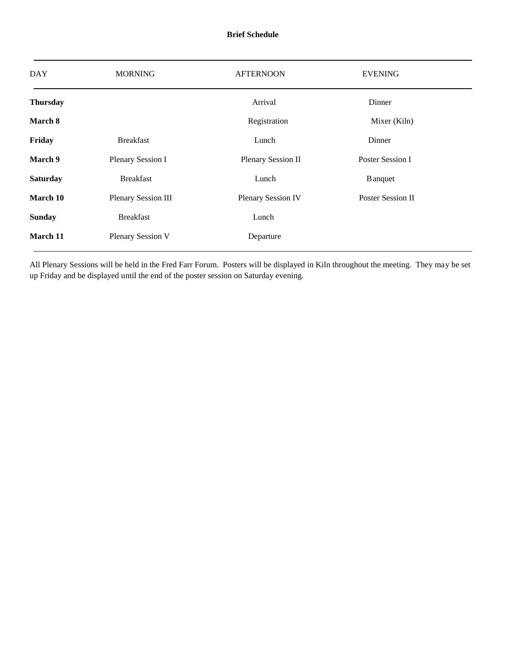| <b>DAY</b>      | <b>MORNING</b>             | <b>AFTERNOON</b>          | <b>EVENING</b>    |  |
|-----------------|----------------------------|---------------------------|-------------------|--|
| <b>Thursday</b> |                            | Arrival                   | Dinner            |  |
| March 8         |                            | Registration              | Mixer (Kiln)      |  |
| Friday          | <b>Breakfast</b>           | Lunch                     | Dinner            |  |
| March 9         | Plenary Session I          | Plenary Session II        | Poster Session I  |  |
| <b>Saturday</b> | <b>Breakfast</b>           | Lunch                     | <b>B</b> anquet   |  |
| March 10        | <b>Plenary Session III</b> | <b>Plenary Session IV</b> | Poster Session II |  |
| <b>Sunday</b>   | <b>Breakfast</b>           | Lunch                     |                   |  |
| March 11        | Plenary Session V          | Departure                 |                   |  |

All Plenary Sessions will be held in the Fred Farr Forum. Posters will be displayed in Kiln throughout the meeting. They may be set up Friday and be displayed until the end of the poster session on Saturday evening.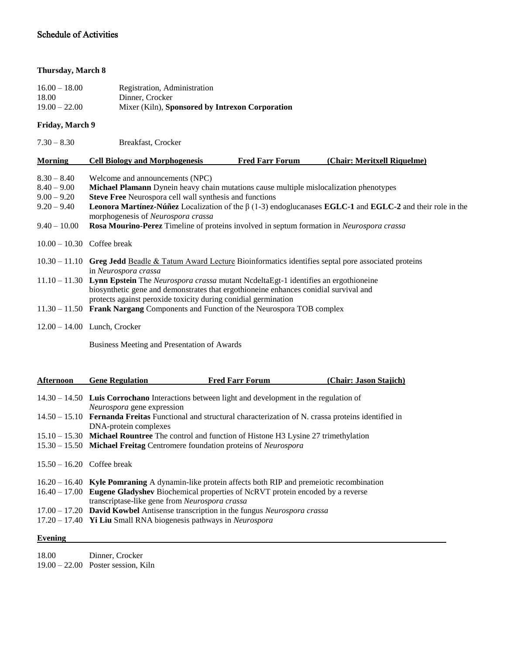#### Schedule of Activities

#### **Thursday, March 8**

| $16.00 - 18.00$ | Registration, Administration                    |
|-----------------|-------------------------------------------------|
| 18.00           | Dinner, Crocker                                 |
| $19.00 - 22.00$ | Mixer (Kiln), Sponsored by Intrexon Corporation |

#### **Friday, March 9**

| $7.30 - 8.30$                                                    | Breakfast, Crocker                                                                                                                                                                                                                                                                                                                                                 |                        |                             |  |
|------------------------------------------------------------------|--------------------------------------------------------------------------------------------------------------------------------------------------------------------------------------------------------------------------------------------------------------------------------------------------------------------------------------------------------------------|------------------------|-----------------------------|--|
| <b>Morning</b>                                                   | <b>Cell Biology and Morphogenesis</b>                                                                                                                                                                                                                                                                                                                              | <b>Fred Farr Forum</b> | (Chair: Meritxell Riquelme) |  |
| $8.30 - 8.40$<br>$8.40 - 9.00$<br>$9.00 - 9.20$<br>$9.20 - 9.40$ | Welcome and announcements (NPC)<br>Michael Plamann Dynein heavy chain mutations cause multiple mislocalization phenotypes<br>Steve Free Neurospora cell wall synthesis and functions<br><b>Leonora Martínez-Núñez</b> Localization of the $\beta$ (1-3) endoglucanases <b>EGLC-1</b> and <b>EGLC-2</b> and their role in the<br>morphogenesis of Neurospora crassa |                        |                             |  |
| $9.40 - 10.00$                                                   | <b>Rosa Mourino-Perez</b> Timeline of proteins involved in septum formation in <i>Neurospora crassa</i>                                                                                                                                                                                                                                                            |                        |                             |  |
| $10.00 - 10.30$ Coffee break                                     |                                                                                                                                                                                                                                                                                                                                                                    |                        |                             |  |
|                                                                  | $10.30 - 11.10$ Greg Jedd Beadle & Tatum Award Lecture Bioinformatics identifies septal pore associated proteins<br>in Neurospora crassa                                                                                                                                                                                                                           |                        |                             |  |
|                                                                  | $11.10 - 11.30$ Lynn Epstein The <i>Neurospora crassa</i> mutant Ncdelta Egt-1 identifies an ergothioneine<br>biosynthetic gene and demonstrates that ergothioneine enhances conidial survival and<br>protects against peroxide toxicity during conidial germination                                                                                               |                        |                             |  |
|                                                                  | $11.30 - 11.50$ Frank Nargang Components and Function of the Neurospora TOB complex                                                                                                                                                                                                                                                                                |                        |                             |  |
|                                                                  | $12.00 - 14.00$ Lunch, Crocker                                                                                                                                                                                                                                                                                                                                     |                        |                             |  |

Business Meeting and Presentation of Awards

| Afternoon                    | <b>Gene Regulation</b>                         | <b>Fred Farr Forum</b>                                                                                               | (Chair: Jason Stajich) |
|------------------------------|------------------------------------------------|----------------------------------------------------------------------------------------------------------------------|------------------------|
|                              | <i>Neurospora</i> gene expression              | $14.30 - 14.50$ Luis Corrochano Interactions between light and development in the regulation of                      |                        |
|                              | DNA-protein complexes                          | 14.50 – 15.10 <b>Fernanda Freitas</b> Functional and structural characterization of N. crassa proteins identified in |                        |
|                              |                                                | 15.10 – 15.30 Michael Rountree The control and function of Histone H3 Lysine 27 trimethylation                       |                        |
|                              |                                                | 15.30 – 15.50 Michael Freitag Centromere foundation proteins of <i>Neurospora</i>                                    |                        |
| $15.50 - 16.20$ Coffee break |                                                |                                                                                                                      |                        |
|                              |                                                | $16.20 - 16.40$ Kyle Pomraning A dynamin-like protein affects both RIP and premeiotic recombination                  |                        |
|                              | transcriptase-like gene from Neurospora crassa | 16.40 – 17.00 Eugene Gladyshev Biochemical properties of NcRVT protein encoded by a reverse                          |                        |
|                              |                                                | 17.00 – 17.20 <b>David Kowbel</b> Antisense transcription in the fungus <i>Neurospora crassa</i>                     |                        |
|                              |                                                | 17.20 - 17.40 Yi Liu Small RNA biogenesis pathways in Neurospora                                                     |                        |

#### **Evening**

18.00 Dinner, Crocker

19.00 – 22.00 Poster session, Kiln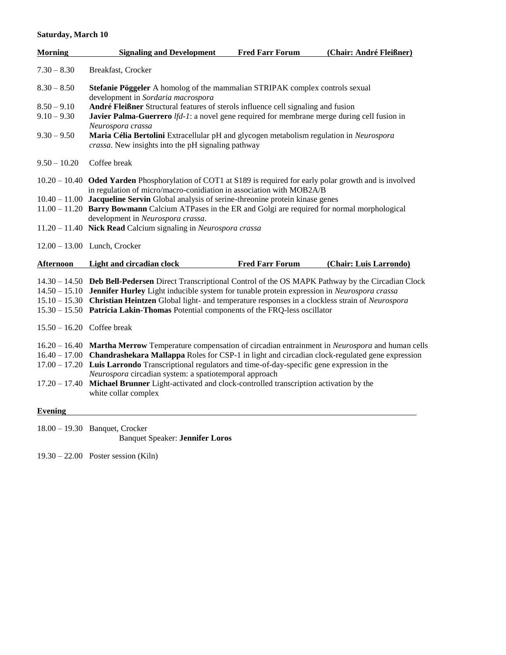#### **Saturday, March 10**

| <b>Morning</b>                                  | <b>Signaling and Development</b>                                                                                                                                                                                                                                                                                                                                                                                                                                                                                | <b>Fred Farr Forum</b> | (Chair: André Fleißner) |
|-------------------------------------------------|-----------------------------------------------------------------------------------------------------------------------------------------------------------------------------------------------------------------------------------------------------------------------------------------------------------------------------------------------------------------------------------------------------------------------------------------------------------------------------------------------------------------|------------------------|-------------------------|
| $7.30 - 8.30$                                   | Breakfast, Crocker                                                                                                                                                                                                                                                                                                                                                                                                                                                                                              |                        |                         |
| $8.30 - 8.50$                                   | Stefanie Pöggeler A homolog of the mammalian STRIPAK complex controls sexual                                                                                                                                                                                                                                                                                                                                                                                                                                    |                        |                         |
| $8.50 - 9.10$<br>$9.10 - 9.30$<br>$9.30 - 9.50$ | development in Sordaria macrospora<br>André Fleißner Structural features of sterols influence cell signaling and fusion<br>Javier Palma-Guerrero $lfd-1$ : a novel gene required for membrane merge during cell fusion in<br>Neurospora crassa<br>Maria Célia Bertolini Extracellular pH and glycogen metabolism regulation in Neurospora<br>crassa. New insights into the pH signaling pathway                                                                                                                 |                        |                         |
| $9.50 - 10.20$                                  | Coffee break                                                                                                                                                                                                                                                                                                                                                                                                                                                                                                    |                        |                         |
|                                                 | 10.20 - 10.40 Oded Yarden Phosphorylation of COT1 at S189 is required for early polar growth and is involved<br>in regulation of micro/macro-conidiation in association with MOB2A/B                                                                                                                                                                                                                                                                                                                            |                        |                         |
|                                                 | $10.40 - 11.00$ Jacqueline Servin Global analysis of serine-threonine protein kinase genes<br>11.00 - 11.20 Barry Bowmann Calcium ATPases in the ER and Golgi are required for normal morphological<br>development in Neurospora crassa.                                                                                                                                                                                                                                                                        |                        |                         |
|                                                 | 11.20 - 11.40 Nick Read Calcium signaling in Neurospora crassa                                                                                                                                                                                                                                                                                                                                                                                                                                                  |                        |                         |
|                                                 | 12.00 - 13.00 Lunch, Crocker                                                                                                                                                                                                                                                                                                                                                                                                                                                                                    |                        |                         |
| <b>Afternoon</b>                                | <b>Light and circadian clock</b>                                                                                                                                                                                                                                                                                                                                                                                                                                                                                | <b>Fred Farr Forum</b> | (Chair: Luis Larrondo)  |
|                                                 | 14.30 - 14.50 Deb Bell-Pedersen Direct Transcriptional Control of the OS MAPK Pathway by the Circadian Clock<br>14.50 - 15.10 Jennifer Hurley Light inducible system for tunable protein expression in Neurospora crassa<br>15.10 - 15.30 Christian Heintzen Global light- and temperature responses in a clockless strain of Neurospora<br>15.30 - 15.50 Patricia Lakin-Thomas Potential components of the FRQ-less oscillator                                                                                 |                        |                         |
|                                                 | $15.50 - 16.20$ Coffee break                                                                                                                                                                                                                                                                                                                                                                                                                                                                                    |                        |                         |
| $17.20 - 17.40$                                 | 16.20 - 16.40 Martha Merrow Temperature compensation of circadian entrainment in Neurospora and human cells<br>16.40 - 17.00 Chandrashekara Mallappa Roles for CSP-1 in light and circadian clock-regulated gene expression<br>17.00 - 17.20 Luis Larrondo Transcriptional regulators and time-of-day-specific gene expression in the<br>Neurospora circadian system: a spatiotemporal approach<br>Michael Brunner Light-activated and clock-controlled transcription activation by the<br>white collar complex |                        |                         |
| <b>Evening</b>                                  |                                                                                                                                                                                                                                                                                                                                                                                                                                                                                                                 |                        |                         |

18.00 – 19.30 Banquet, Crocker Banquet Speaker: **Jennifer Loros**

19.30 – 22.00 Poster session (Kiln)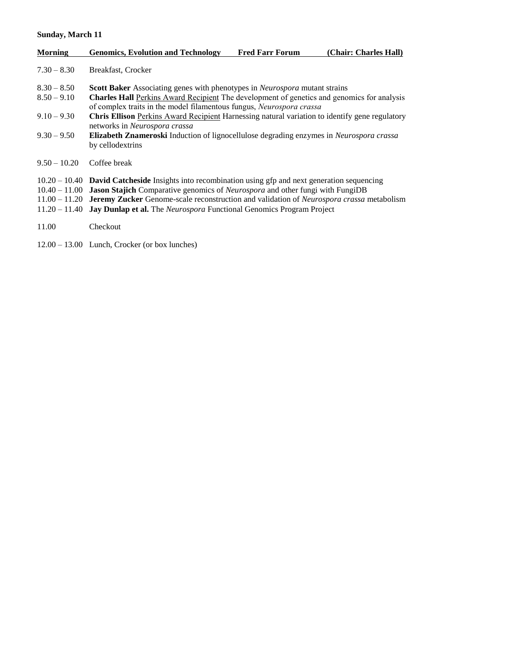#### **Sunday, March 11**

| <b>Morning</b>                 | <b>Genomics, Evolution and Technology</b>                                                                                                                                                                                                                                                                                                                                                              | <b>Fred Farr Forum</b> | (Chair: Charles Hall) |
|--------------------------------|--------------------------------------------------------------------------------------------------------------------------------------------------------------------------------------------------------------------------------------------------------------------------------------------------------------------------------------------------------------------------------------------------------|------------------------|-----------------------|
| $7.30 - 8.30$                  | Breakfast, Crocker                                                                                                                                                                                                                                                                                                                                                                                     |                        |                       |
| $8.30 - 8.50$<br>$8.50 - 9.10$ | <b>Scott Baker</b> Associating genes with phenotypes in <i>Neurospora</i> mutant strains<br><b>Charles Hall Perkins Award Recipient</b> The development of genetics and genomics for analysis<br>of complex traits in the model filamentous fungus, Neurospora crassa                                                                                                                                  |                        |                       |
| $9.10 - 9.30$                  | <b>Chris Ellison</b> Perkins Award Recipient Harnessing natural variation to identify gene regulatory<br>networks in Neurospora crassa                                                                                                                                                                                                                                                                 |                        |                       |
| $9.30 - 9.50$                  | <b>Elizabeth Znameroski</b> Induction of lignocellulose degrading enzymes in <i>Neurospora crassa</i><br>by cellodextrins                                                                                                                                                                                                                                                                              |                        |                       |
| $9.50 - 10.20$                 | Coffee break                                                                                                                                                                                                                                                                                                                                                                                           |                        |                       |
| $11.20 - 11.40$                | $10.20 - 10.40$ David Catcheside Insights into recombination using gfp and next generation sequencing<br>$10.40 - 11.00$ Jason Stajich Comparative genomics of <i>Neurospora</i> and other fungi with FungiDB<br>11.00 - 11.20 Jeremy Zucker Genome-scale reconstruction and validation of Neurospora crassa metabolism<br><b>Jay Dunlap et al.</b> The Neurospora Functional Genomics Program Project |                        |                       |
| 11.00                          | Checkout                                                                                                                                                                                                                                                                                                                                                                                               |                        |                       |
|                                | $12.00 - 13.00$ Lunch, Crocker (or box lunches)                                                                                                                                                                                                                                                                                                                                                        |                        |                       |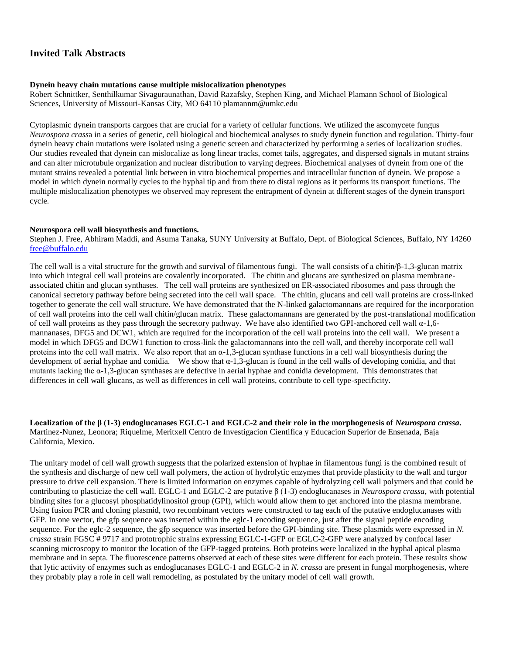#### **Invited Talk Abstracts**

#### **Dynein heavy chain mutations cause multiple mislocalization phenotypes**

Robert Schnittker, Senthilkumar Sivaguraunathan, David Razafsky, Stephen King, and Michael Plamann School of Biological Sciences, University of Missouri-Kansas City, MO 64110 plamannm@umkc.edu

Cytoplasmic dynein transports cargoes that are crucial for a variety of cellular functions. We utilized the ascomycete fungus *Neurospora crass*a in a series of genetic, cell biological and biochemical analyses to study dynein function and regulation. Thirty-four dynein heavy chain mutations were isolated using a genetic screen and characterized by performing a series of localization studies. Our studies revealed that dynein can mislocalize as long linear tracks, comet tails, aggregates, and dispersed signals in mutant strains and can alter microtubule organization and nuclear distribution to varying degrees. Biochemical analyses of dynein from one of the mutant strains revealed a potential link between in vitro biochemical properties and intracellular function of dynein. We propose a model in which dynein normally cycles to the hyphal tip and from there to distal regions as it performs its transport functions. The multiple mislocalization phenotypes we observed may represent the entrapment of dynein at different stages of the dynein transport cycle.

#### **Neurospora cell wall biosynthesis and functions.**

Stephen J. Free, Abhiram Maddi, and Asuma Tanaka, SUNY University at Buffalo, Dept. of Biological Sciences, Buffalo, NY 14260 [free@buffalo.edu](mailto:free@buffalo.edu)

The cell wall is a vital structure for the growth and survival of filamentous fungi. The wall consists of a chitin/β-1,3-glucan matrix into which integral cell wall proteins are covalently incorporated. The chitin and glucans are synthesized on plasma membraneassociated chitin and glucan synthases. The cell wall proteins are synthesized on ER-associated ribosomes and pass through the canonical secretory pathway before being secreted into the cell wall space. The chitin, glucans and cell wall proteins are cross-linked together to generate the cell wall structure. We have demonstrated that the N-linked galactomannans are required for the incorporation of cell wall proteins into the cell wall chitin/glucan matrix. These galactomannans are generated by the post-translational modification of cell wall proteins as they pass through the secretory pathway. We have also identified two GPI-anchored cell wall  $\alpha$ -1,6mannanases, DFG5 and DCW1, which are required for the incorporation of the cell wall proteins into the cell wall. We present a model in which DFG5 and DCW1 function to cross-link the galactomannans into the cell wall, and thereby incorporate cell wall proteins into the cell wall matrix. We also report that an  $\alpha$ -1.3-glucan synthase functions in a cell wall biosynthesis during the development of aerial hyphae and conidia. We show that α-1,3-glucan is found in the cell walls of developing conidia, and that mutants lacking the α-1,3-glucan synthases are defective in aerial hyphae and conidia development. This demonstrates that differences in cell wall glucans, as well as differences in cell wall proteins, contribute to cell type-specificity.

**Localization of the β (1-3) endoglucanases EGLC-1 and EGLC-2 and their role in the morphogenesis of** *Neurospora crassa***.**  Martinez-Nunez, Leonora; Riquelme, Meritxell Centro de Investigacion Cientifica y Educacion Superior de Ensenada, Baja California, Mexico.

The unitary model of cell wall growth suggests that the polarized extension of hyphae in filamentous fungi is the combined result of the synthesis and discharge of new cell wall polymers, the action of hydrolytic enzymes that provide plasticity to the wall and turgor pressure to drive cell expansion. There is limited information on enzymes capable of hydrolyzing cell wall polymers and that could be contributing to plasticize the cell wall. EGLC-1 and EGLC-2 are putative β (1-3) endoglucanases in *Neurospora crassa*, with potential binding sites for a glucosyl phosphatidylinositol group (GPI), which would allow them to get anchored into the plasma membrane. Using fusion PCR and cloning plasmid, two recombinant vectors were constructed to tag each of the putative endoglucanases with GFP. In one vector, the gfp sequence was inserted within the eglc-1 encoding sequence, just after the signal peptide encoding sequence. For the eglc-2 sequence, the gfp sequence was inserted before the GPI-binding site. These plasmids were expressed in *N. crassa* strain FGSC # 9717 and prototrophic strains expressing EGLC-1-GFP or EGLC-2-GFP were analyzed by confocal laser scanning microscopy to monitor the location of the GFP-tagged proteins. Both proteins were localized in the hyphal apical plasma membrane and in septa. The fluorescence patterns observed at each of these sites were different for each protein. These results show that lytic activity of enzymes such as endoglucanases EGLC-1 and EGLC-2 in *N. crassa* are present in fungal morphogenesis, where they probably play a role in cell wall remodeling, as postulated by the unitary model of cell wall growth.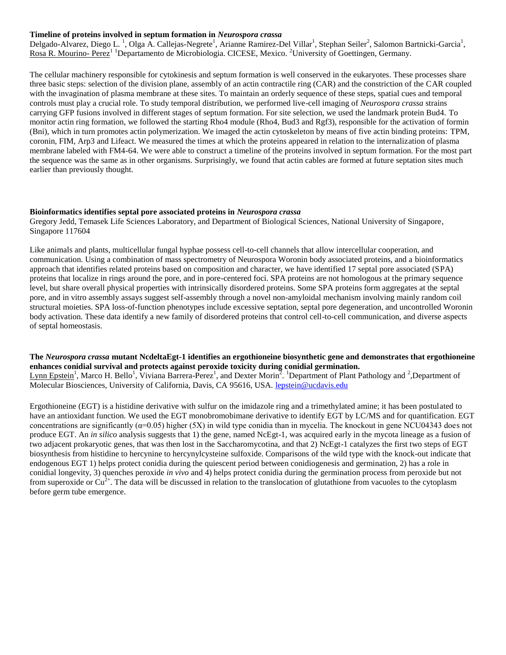#### **Timeline of proteins involved in septum formation in** *Neurospora crassa*

Delgado-Alvarez, Diego L.<sup>1</sup>, Olga A. Callejas-Negrete<sup>1</sup>, Arianne Ramirez-Del Villar<sup>1</sup>, Stephan Seiler<sup>2</sup>, Salomon Bartnicki-Garcia<sup>1</sup>, Rosa R. Mourino- Perez<sup>1 1</sup>Departamento de Microbiologia. CICESE, Mexico. <sup>2</sup>University of Goettingen, Germany.

The cellular machinery responsible for cytokinesis and septum formation is well conserved in the eukaryotes. These processes share three basic steps: selection of the division plane, assembly of an actin contractile ring (CAR) and the constriction of the CAR coupled with the invagination of plasma membrane at these sites. To maintain an orderly sequence of these steps, spatial cues and temporal controls must play a crucial role. To study temporal distribution, we performed live-cell imaging of *Neurospora crassa* strains carrying GFP fusions involved in different stages of septum formation. For site selection, we used the landmark protein Bud4. To monitor actin ring formation, we followed the starting Rho4 module (Rho4, Bud3 and Rgf3), responsible for the activation of formin (Bni), which in turn promotes actin polymerization. We imaged the actin cytoskeleton by means of five actin binding proteins: TPM, coronin, FIM, Arp3 and Lifeact. We measured the times at which the proteins appeared in relation to the internalization of plasma membrane labeled with FM4-64. We were able to construct a timeline of the proteins involved in septum formation. For the most part the sequence was the same as in other organisms. Surprisingly, we found that actin cables are formed at future septation sites much earlier than previously thought.

#### **Bioinformatics identifies septal pore associated proteins in** *Neurospora crassa*

Gregory Jedd, Temasek Life Sciences Laboratory, and Department of Biological Sciences, National University of Singapore, Singapore 117604

Like animals and plants, multicellular fungal hyphae possess cell-to-cell channels that allow intercellular cooperation, and communication. Using a combination of mass spectrometry of Neurospora Woronin body associated proteins, and a bioinformatics approach that identifies related proteins based on composition and character, we have identified 17 septal pore associated (SPA) proteins that localize in rings around the pore, and in pore-centered foci. SPA proteins are not homologous at the primary sequence level, but share overall physical properties with intrinsically disordered proteins. Some SPA proteins form aggregates at the septal pore, and in vitro assembly assays suggest self-assembly through a novel non-amyloidal mechanism involving mainly random coil structural moieties. SPA loss-of-function phenotypes include excessive septation, septal pore degeneration, and uncontrolled Woronin body activation. These data identify a new family of disordered proteins that control cell-to-cell communication, and diverse aspects of septal homeostasis.

**The** *Neurospora crassa* **mutant NcdeltaEgt-1 identifies an ergothioneine biosynthetic gene and demonstrates that ergothioneine enhances conidial survival and protects against peroxide toxicity during conidial germination.**  Lynn Epstein<sup>1</sup>, Marco H. Bello<sup>1</sup>, Viviana Barrera-Perez<sup>1</sup>, and Dexter Morin<sup>2</sup>. <sup>1</sup>Department of Plant Pathology and <sup>2</sup>, Department of Molecular Biosciences, University of California, Davis, CA 95616, USA. [lepstein@ucdavis.edu](mailto:lepstein@ucdavis.edu)

Ergothioneine (EGT) is a histidine derivative with sulfur on the imidazole ring and a trimethylated amine; it has been postulated to have an antioxidant function. We used the EGT monobromobimane derivative to identify EGT by LC/MS and for quantification. EGT concentrations are significantly  $(\alpha=0.05)$  higher  $(5X)$  in wild type conidia than in mycelia. The knockout in gene NCU04343 does not produce EGT. An *in silico* analysis suggests that 1) the gene, named NcEgt-1, was acquired early in the mycota lineage as a fusion of two adjacent prokaryotic genes, that was then lost in the Saccharomycotina, and that 2) NcEgt-1 catalyzes the first two steps of EGT biosynthesis from histidine to hercynine to hercynylcysteine sulfoxide. Comparisons of the wild type with the knock-out indicate that endogenous EGT 1) helps protect conidia during the quiescent period between conidiogenesis and germination, 2) has a role in conidial longevity, 3) quenches peroxide *in vivo* and 4) helps protect conidia during the germination process from peroxide but not from superoxide or  $Cu^{2+}$ . The data will be discussed in relation to the translocation of glutathione from vacuoles to the cytoplasm before germ tube emergence.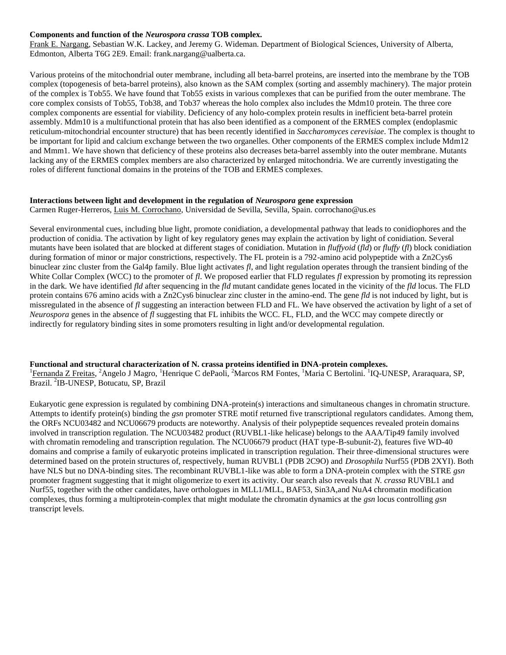#### **Components and function of the** *Neurospora crassa* **TOB complex.**

Frank E. Nargang, Sebastian W.K. Lackey, and Jeremy G. Wideman. Department of Biological Sciences, University of Alberta, Edmonton, Alberta T6G 2E9. Email: frank.nargang@ualberta.ca.

Various proteins of the mitochondrial outer membrane, including all beta-barrel proteins, are inserted into the membrane by the TOB complex (topogenesis of beta-barrel proteins), also known as the SAM complex (sorting and assembly machinery). The major protein of the complex is Tob55. We have found that Tob55 exists in various complexes that can be purified from the outer membrane. The core complex consists of Tob55, Tob38, and Tob37 whereas the holo complex also includes the Mdm10 protein. The three core complex components are essential for viability. Deficiency of any holo-complex protein results in inefficient beta-barrel protein assembly. Mdm10 is a multifunctional protein that has also been identified as a component of the ERMES complex (endoplasmic reticulum-mitochondrial encounter structure) that has been recently identified in *Saccharomyces cerevisiae*. The complex is thought to be important for lipid and calcium exchange between the two organelles. Other components of the ERMES complex include Mdm12 and Mmm1. We have shown that deficiency of these proteins also decreases beta-barrel assembly into the outer membrane. Mutants lacking any of the ERMES complex members are also characterized by enlarged mitochondria. We are currently investigating the roles of different functional domains in the proteins of the TOB and ERMES complexes.

#### **Interactions between light and development in the regulation of** *Neurospora* **gene expression**

Carmen Ruger-Herreros, Luis M. Corrochano, Universidad de Sevilla, Sevilla, Spain. corrochano@us.es

Several environmental cues, including blue light, promote conidiation, a developmental pathway that leads to conidiophores and the production of conidia. The activation by light of key regulatory genes may explain the activation by light of conidiation. Several mutants have been isolated that are blocked at different stages of conidiation. Mutation in *fluffyoid* (*fld*) or *fluffy* (*fl*) block conidiation during formation of minor or major constrictions, respectively. The FL protein is a 792-amino acid polypeptide with a Zn2Cys6 binuclear zinc cluster from the Gal4p family. Blue light activates *fl*, and light regulation operates through the transient binding of the White Collar Complex (WCC) to the promoter of *fl*. We proposed earlier that FLD regulates *fl* expression by promoting its repression in the dark. We have identified *fld* after sequencing in the *fld* mutant candidate genes located in the vicinity of the *fld* locus. The FLD protein contains 676 amino acids with a Zn2Cys6 binuclear zinc cluster in the amino-end. The gene *fld* is not induced by light, but is missregulated in the absence of *fl* suggesting an interaction between FLD and FL. We have observed the activation by light of a set of *Neurospora* genes in the absence of *fl* suggesting that FL inhibits the WCC. FL, FLD, and the WCC may compete directly or indirectly for regulatory binding sites in some promoters resulting in light and/or developmental regulation.

#### **Functional and structural characterization of N. crassa proteins identified in DNA-protein complexes.**

<sup>1</sup>Fernanda Z Freitas, <sup>2</sup>Angelo J Magro, <sup>1</sup>Henrique C dePaoli, <sup>2</sup>Marcos RM Fontes, <sup>1</sup>Maria C Bertolini. <sup>1</sup>IQ-UNESP, Araraquara, SP, Brazil. <sup>2</sup>IB-UNESP, Botucatu, SP, Brazil

Eukaryotic gene expression is regulated by combining DNA-protein(s) interactions and simultaneous changes in chromatin structure. Attempts to identify protein(s) binding the *gsn* promoter STRE motif returned five transcriptional regulators candidates. Among them, the ORFs NCU03482 and NCU06679 products are noteworthy. Analysis of their polypeptide sequences revealed protein domains involved in transcription regulation. The NCU03482 product (RUVBL1-like helicase) belongs to the AAA/Tip49 family involved with chromatin remodeling and transcription regulation. The NCU06679 product (HAT type-B-subunit-2), features five WD-40 domains and comprise a family of eukaryotic proteins implicated in transcription regulation. Their three-dimensional structures were determined based on the protein structures of, respectively, human RUVBL1 (PDB 2C9O) and *Drosophila* Nurf55 (PDB 2XYI). Both have NLS but no DNA-binding sites. The recombinant RUVBL1-like was able to form a DNA-protein complex with the STRE *gsn* promoter fragment suggesting that it might oligomerize to exert its activity. Our search also reveals that *N. crassa* RUVBL1 and Nurf55, together with the other candidates, have orthologues in MLL1/MLL, BAF53, Sin3A,and NuA4 chromatin modification complexes, thus forming a multiprotein-complex that might modulate the chromatin dynamics at the *gsn* locus controlling *gsn* transcript levels.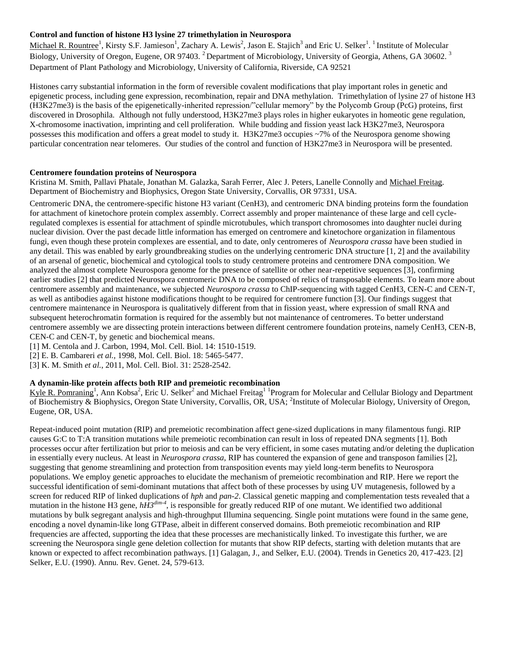#### **Control and function of histone H3 lysine 27 trimethylation in Neurospora**

Michael R. Rountree<sup>1</sup>, Kirsty S.F. Jamieson<sup>1</sup>, Zachary A. Lewis<sup>2</sup>, Jason E. Stajich<sup>3</sup> and Eric U. Selker<sup>1</sup>. <sup>1</sup> Institute of Molecular Biology, University of Oregon, Eugene, OR 97403. <sup>2</sup> Department of Microbiology, University of Georgia, Athens, GA 30602. <sup>3</sup> Department of Plant Pathology and Microbiology, University of California, Riverside, CA 92521

Histones carry substantial information in the form of reversible covalent modifications that play important roles in genetic and epigenetic process, including gene expression, recombination, repair and DNA methylation. Trimethylation of lysine 27 of histone H3 (H3K27me3) is the basis of the epigenetically-inherited repression/"cellular memory" by the Polycomb Group (PcG) proteins, first discovered in Drosophila. Although not fully understood, H3K27me3 plays roles in higher eukaryotes in homeotic gene regulation, X-chromosome inactivation, imprinting and cell proliferation. While budding and fission yeast lack H3K27me3, Neurospora possesses this modification and offers a great model to study it. H3K27me3 occupies ~7% of the Neurospora genome showing particular concentration near telomeres. Our studies of the control and function of H3K27me3 in Neurospora will be presented.

#### **Centromere foundation proteins of Neurospora**

Kristina M. Smith, Pallavi Phatale, Jonathan M. Galazka, Sarah Ferrer, Alec J. Peters, Lanelle Connolly and Michael Freitag. Department of Biochemistry and Biophysics, Oregon State University, Corvallis, OR 97331, USA.

Centromeric DNA, the centromere-specific histone H3 variant (CenH3), and centromeric DNA binding proteins form the foundation for attachment of kinetochore protein complex assembly. Correct assembly and proper maintenance of these large and cell cycleregulated complexes is essential for attachment of spindle microtubules, which transport chromosomes into daughter nuclei during nuclear division. Over the past decade little information has emerged on centromere and kinetochore organization in filamentous fungi, even though these protein complexes are essential, and to date, only centromeres of *Neurospora crassa* have been studied in any detail. This was enabled by early groundbreaking studies on the underlying centromeric DNA structure [1, 2] and the availability of an arsenal of genetic, biochemical and cytological tools to study centromere proteins and centromere DNA composition. We analyzed the almost complete Neurospora genome for the presence of satellite or other near-repetitive sequences [3], confirming earlier studies [2] that predicted Neurospora centromeric DNA to be composed of relics of transposable elements. To learn more about centromere assembly and maintenance, we subjected *Neurospora crassa* to ChIP-sequencing with tagged CenH3, CEN-C and CEN-T, as well as antibodies against histone modifications thought to be required for centromere function [3]. Our findings suggest that centromere maintenance in Neurospora is qualitatively different from that in fission yeast, where expression of small RNA and subsequent heterochromatin formation is required for the assembly but not maintenance of centromeres. To better understand centromere assembly we are dissecting protein interactions between different centromere foundation proteins, namely CenH3, CEN-B, CEN-C and CEN-T, by genetic and biochemical means.

[1] M. Centola and J. Carbon, 1994, Mol. Cell. Biol. 14: 1510-1519.

[2] E. B. Cambareri *et al.,* 1998, Mol. Cell. Biol. 18: 5465-5477.

[3] K. M. Smith *et al.*, 2011, Mol. Cell. Biol. 31: 2528-2542.

#### **A dynamin-like protein affects both RIP and premeiotic recombination**

Kyle R. Pomraning<sup>1</sup>, Ann Kobsa<sup>2</sup>, Eric U. Selker<sup>2</sup> and Michael Freitag<sup>11</sup> Program for Molecular and Cellular Biology and Department of Biochemistry & Biophysics, Oregon State University, Corvallis, OR, USA; <sup>2</sup>Institute of Molecular Biology, University of Oregon, Eugene, OR, USA.

Repeat-induced point mutation (RIP) and premeiotic recombination affect gene-sized duplications in many filamentous fungi. RIP causes G:C to T:A transition mutations while premeiotic recombination can result in loss of repeated DNA segments [1]. Both processes occur after fertilization but prior to meiosis and can be very efficient, in some cases mutating and/or deleting the duplication in essentially every nucleus. At least in *Neurospora crassa*, RIP has countered the expansion of gene and transposon families [2], suggesting that genome streamlining and protection from transposition events may yield long-term benefits to Neurospora populations. We employ genetic approaches to elucidate the mechanism of premeiotic recombination and RIP. Here we report the successful identification of semi-dominant mutations that affect both of these processes by using UV mutagenesis, followed by a screen for reduced RIP of linked duplications of *hph* and *pan-2*. Classical genetic mapping and complementation tests revealed that a mutation in the histone H3 gene,  $h\dot{H}3^{dim-4}$ , is responsible for greatly reduced RIP of one mutant. We identified two additional mutations by bulk segregant analysis and high-throughput Illumina sequencing. Single point mutations were found in the same gene, encoding a novel dynamin-like long GTPase, albeit in different conserved domains. Both premeiotic recombination and RIP frequencies are affected, supporting the idea that these processes are mechanistically linked. To investigate this further, we are screening the Neurospora single gene deletion collection for mutants that show RIP defects, starting with deletion mutants that are known or expected to affect recombination pathways. [1] Galagan, J., and Selker, E.U. (2004). Trends in Genetics 20, 417-423. [2] Selker, E.U. (1990). Annu. Rev. Genet. 24, 579-613.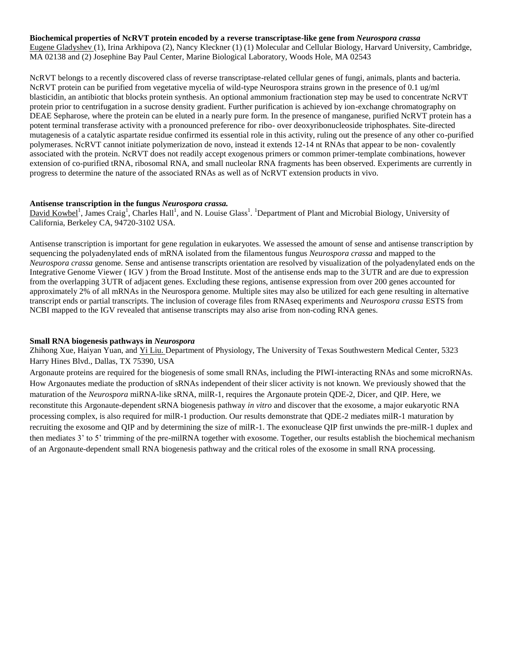**Biochemical properties of NcRVT protein encoded by a reverse transcriptase-like gene from** *Neurospora crassa*

Eugene Gladyshev (1), Irina Arkhipova (2), Nancy Kleckner (1) (1) Molecular and Cellular Biology, Harvard University, Cambridge, MA 02138 and (2) Josephine Bay Paul Center, Marine Biological Laboratory, Woods Hole, MA 02543

NcRVT belongs to a recently discovered class of reverse transcriptase-related cellular genes of fungi, animals, plants and bacteria. NcRVT protein can be purified from vegetative mycelia of wild-type Neurospora strains grown in the presence of 0.1 ug/ml blasticidin, an antibiotic that blocks protein synthesis. An optional ammonium fractionation step may be used to concentrate NcRVT protein prior to centrifugation in a sucrose density gradient. Further purification is achieved by ion-exchange chromatography on DEAE Sepharose, where the protein can be eluted in a nearly pure form. In the presence of manganese, purified NcRVT protein has a potent terminal transferase activity with a pronounced preference for ribo- over deoxyribonucleoside triphosphates. Site-directed mutagenesis of a catalytic aspartate residue confirmed its essential role in this activity, ruling out the presence of any other co-purified polymerases. NcRVT cannot initiate polymerization de novo, instead it extends 12-14 nt RNAs that appear to be non- covalently associated with the protein. NcRVT does not readily accept exogenous primers or common primer-template combinations, however extension of co-purified tRNA, ribosomal RNA, and small nucleolar RNA fragments has been observed. Experiments are currently in progress to determine the nature of the associated RNAs as well as of NcRVT extension products in vivo.

#### **Antisense transcription in the fungus** *Neurospora crassa.*

David Kowbel<sup>1</sup>, James Craig<sup>1</sup>, Charles Hall<sup>1</sup>, and N. Louise Glass<sup>1</sup>. <sup>1</sup>Department of Plant and Microbial Biology, University of California, Berkeley CA, 94720-3102 USA.

Antisense transcription is important for gene regulation in eukaryotes. We assessed the amount of sense and antisense transcription by sequencing the polyadenylated ends of mRNA isolated from the filamentous fungus *Neurospora crassa* and mapped to the *Neurospora crassa* genome. Sense and antisense transcripts orientation are resolved by visualization of the polyadenylated ends on the Integrative Genome Viewer ( IGV ) from the Broad Institute. Most of the antisense ends map to the 3'UTR and are due to expression from the overlapping 3'UTR of adjacent genes. Excluding these regions, antisense expression from over 200 genes accounted for approximately 2% of all mRNAs in the Neurospora genome. Multiple sites may also be utilized for each gene resulting in alternative transcript ends or partial transcripts. The inclusion of coverage files from RNAseq experiments and *Neurospora crassa* ESTS from NCBI mapped to the IGV revealed that antisense transcripts may also arise from non-coding RNA genes.

#### **Small RNA biogenesis pathways in** *Neurospora*

Zhihong Xue, Haiyan Yuan, and Yi Liu. Department of Physiology, The University of Texas Southwestern Medical Center, 5323 Harry Hines Blvd., Dallas, TX 75390, USA

Argonaute proteins are required for the biogenesis of some small RNAs, including the PIWI-interacting RNAs and some microRNAs. How Argonautes mediate the production of sRNAs independent of their slicer activity is not known. We previously showed that the maturation of the *Neurospora* miRNA-like sRNA, milR-1, requires the Argonaute protein QDE-2, Dicer, and QIP. Here, we reconstitute this Argonaute-dependent sRNA biogenesis pathway *in vitro* and discover that the exosome, a major eukaryotic RNA processing complex, is also required for milR-1 production. Our results demonstrate that QDE-2 mediates milR-1 maturation by recruiting the exosome and QIP and by determining the size of milR-1. The exonuclease QIP first unwinds the pre-milR-1 duplex and then mediates 3' to 5' trimming of the pre-milRNA together with exosome. Together, our results establish the biochemical mechanism of an Argonaute-dependent small RNA biogenesis pathway and the critical roles of the exosome in small RNA processing.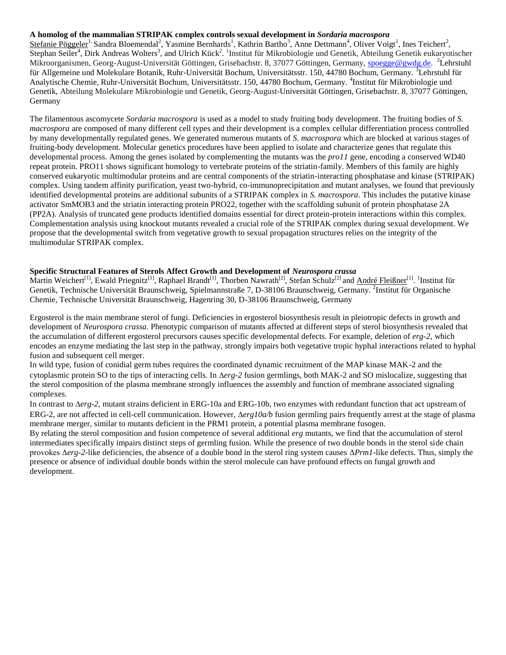#### **A homolog of the mammalian STRIPAK complex controls sexual development in** *Sordaria macrospora*

Stefanie Pöggeler<sup>1,</sup> Sandra Bloemendal<sup>2</sup>, Yasmine Bernhards<sup>1</sup>, Kathrin Bartho<sup>3</sup>, Anne Dettmann<sup>4</sup>, Oliver Voigt<sup>1</sup>, Ines Teichert<sup>2</sup>, Stephan Seiler<sup>4</sup>, Dirk Andreas Wolters<sup>3</sup>, and Ulrich Kück<sup>2</sup>. <sup>1</sup>Institut für Mikrobiologie und Genetik, Abteilung Genetik eukaryotischer Mikroorganismen, Georg-August-Universität Göttingen, Grisebachstr. 8, 37077 Göttingen, Germany, [spoegge@gwdg.de.](mailto:spoegge@gwdg.de) <sup>2</sup>Lehrstuhl für Allgemeine und Molekulare Botanik, Ruhr-Universität Bochum, Universitätsstr. 150, 44780 Bochum, Germany. <sup>3</sup>Lehrstuhl für Analytische Chemie, Ruhr-Universität Bochum, Universitätsstr. 150, 44780 Bochum, Germany. <sup>4</sup>Institut für Mikrobiologie und Genetik, Abteilung Molekulare Mikrobiologie und Genetik, Georg-August-Universität Göttingen, Grisebachstr. 8, 37077 Göttingen, Germany

The filamentous ascomycete *Sordaria macrospora* is used as a model to study fruiting body development. The fruiting bodies of *S. macrospora* are composed of many different cell types and their development is a complex cellular differentiation process controlled by many developmentally regulated genes. We generated numerous mutants of *S. macrospora* which are blocked at various stages of fruiting-body development. Molecular genetics procedures have been applied to isolate and characterize genes that regulate this developmental process. Among the genes isolated by complementing the mutants was the *pro11* gene, encoding a conserved WD40 repeat protein. PRO11 shows significant homology to vertebrate proteins of the striatin-family. Members of this family are highly conserved eukaryotic multimodular proteins and are central components of the striatin-interacting phosphatase and kinase (STRIPAK) complex. Using tandem affinity purification, yeast two-hybrid, co-immunoprecipitation and mutant analyses, we found that previously identified developmental proteins are additional subunits of a STRIPAK complex in *S. macrospora*. This includes the putative kinase activator SmMOB3 and the striatin interacting protein PRO22, together with the scaffolding subunit of protein phosphatase 2A (PP2A). Analysis of truncated gene products identified domains essential for direct protein-protein interactions within this complex. Complementation analysis using knockout mutants revealed a crucial role of the STRIPAK complex during sexual development. We propose that the developmental switch from vegetative growth to sexual propagation structures relies on the integrity of the multimodular STRIPAK complex.

#### **Specific Structural Features of Sterols Affect Growth and Development of** *Neurospora crassa*

Martin Weichert<sup>[1]</sup>, Ewald Priegnitz<sup>[1]</sup>, Raphael Brandt<sup>[1]</sup>, Thorben Nawrath<sup>[2]</sup>, Stefan Schulz<sup>[2]</sup> and André Fleißner<sup>[1]</sup>. <sup>1</sup>Institut für Genetik, Technische Universität Braunschweig, Spielmannstraße 7, D-38106 Braunschweig, Germany. <sup>2</sup>Institut für Organische Chemie, Technische Universität Braunschweig, Hagenring 30, D-38106 Braunschweig, Germany

Ergosterol is the main membrane sterol of fungi. Deficiencies in ergosterol biosynthesis result in pleiotropic defects in growth and development of *Neurospora crassa*. Phenotypic comparison of mutants affected at different steps of sterol biosynthesis revealed that the accumulation of different ergosterol precursors causes specific developmental defects. For example, deletion of *erg-2*, which encodes an enzyme mediating the last step in the pathway, strongly impairs both vegetative tropic hyphal interactions related to hyphal fusion and subsequent cell merger.

In wild type, fusion of conidial germ tubes requires the coordinated dynamic recruitment of the MAP kinase MAK-2 and the cytoplasmic protein SO to the tips of interacting cells. In  $\Delta erg$ -2 fusion germlings, both MAK-2 and SO mislocalize, suggesting that the sterol composition of the plasma membrane strongly influences the assembly and function of membrane associated signaling complexes.

In contrast to  $\Delta erg$ -2, mutant strains deficient in ERG-10a and ERG-10b, two enzymes with redundant function that act upstream of ERG-2, are not affected in cell-cell communication. However, *erg10a/b* fusion germling pairs frequently arrest at the stage of plasma membrane merger, similar to mutants deficient in the PRM1 protein, a potential plasma membrane fusogen.

By relating the sterol composition and fusion competence of several additional *erg* mutants, we find that the accumulation of sterol intermediates specifically impairs distinct steps of germling fusion. While the presence of two double bonds in the sterol side chain provokes Δ*erg-2-*like deficiencies, the absence of a double bond in the sterol ring system causes Δ*Prm1*-like defects. Thus, simply the presence or absence of individual double bonds within the sterol molecule can have profound effects on fungal growth and development.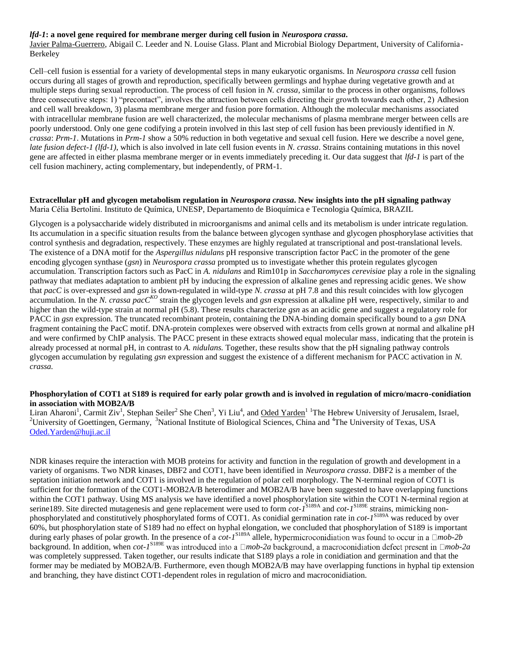#### *lfd-1***: a novel gene required for membrane merger during cell fusion in** *Neurospora crassa***.**

Javier Palma-Guerrero, Abigail C. Leeder and N. Louise Glass. Plant and Microbial Biology Department, University of California-Berkeley

Cell–cell fusion is essential for a variety of developmental steps in many eukaryotic organisms. In *Neurospora crassa* cell fusion occurs during all stages of growth and reproduction, specifically between germlings and hyphae during vegetative growth and at multiple steps during sexual reproduction. The process of cell fusion in *N. crassa*, similar to the process in other organisms, follows three consecutive steps: 1) "precontact", involves the attraction between cells directing their growth towards each other, 2) Adhesion and cell wall breakdown, 3) plasma membrane merger and fusion pore formation. Although the molecular mechanisms associated with intracellular membrane fusion are well characterized, the molecular mechanisms of plasma membrane merger between cells are poorly understood. Only one gene codifying a protein involved in this last step of cell fusion has been previously identified in *N. crassa*: *Prm-1*. Mutations in *Prm-1* show a 50% reduction in both vegetative and sexual cell fusion. Here we describe a novel gene, *late fusion defect-1 (lfd-1)*, which is also involved in late cell fusion events in *N. crassa*. Strains containing mutations in this novel gene are affected in either plasma membrane merger or in events immediately preceding it. Our data suggest that *lfd-1* is part of the cell fusion machinery, acting complementary, but independently, of PRM-1.

#### **Extracellular pH and glycogen metabolism regulation in** *Neurospora crassa***. New insights into the pH signaling pathway** Maria Célia Bertolini. Instituto de Química, UNESP, Departamento de Bioquímica e Tecnologia Química, BRAZIL

Glycogen is a polysaccharide widely distributed in microorganisms and animal cells and its metabolism is under intricate regulation. Its accumulation in a specific situation results from the balance between glycogen synthase and glycogen phosphorylase activities that control synthesis and degradation, respectively. These enzymes are highly regulated at transcriptional and post-translational levels. The existence of a DNA motif for the *Aspergillus nidulans* pH responsive transcription factor PacC in the promoter of the gene encoding glycogen synthase (*gsn*) in *Neurospora crassa* prompted us to investigate whether this protein regulates glycogen accumulation. Transcription factors such as PacC in *A. nidulans* and Rim101p in *Saccharomyces cerevisiae* play a role in the signaling pathway that mediates adaptation to ambient pH by inducing the expression of alkaline genes and repressing acidic genes. We show that *pacC* is over-expressed and *gsn* is down-regulated in wild-type *N. crassa* at pH 7.8 and this result coincides with low glycogen accumulation. In the *N. crassa pacCKO* strain the glycogen levels and *gsn* expression at alkaline pH were, respectively, similar to and higher than the wild-type strain at normal pH (5.8). These results characterize *gsn* as an acidic gene and suggest a regulatory role for PACC in *gsn* expression. The truncated recombinant protein, containing the DNA-binding domain specifically bound to a *gsn* DNA fragment containing the PacC motif. DNA-protein complexes were observed with extracts from cells grown at normal and alkaline pH and were confirmed by ChIP analysis. The PACC present in these extracts showed equal molecular mass, indicating that the protein is already processed at normal pH, in contrast to *A. nidulans.* Together, these results show that the pH signaling pathway controls glycogen accumulation by regulating *gsn* expression and suggest the existence of a different mechanism for PACC activation in *N. crassa.*

#### **Phosphorylation of COT1 at S189 is required for early polar growth and is involved in regulation of micro/macro-conidiation in association with MOB2A/B**

Liran Aharoni<sup>1</sup>, Carmit Ziv<sup>1</sup>, Stephan Seiler<sup>2</sup> She Chen<sup>3</sup>, Yi Liu<sup>4</sup>, and <u>Oded Yarden<sup>1 1</sup>The Hebrew University of Jerusalem, Israel,</u> <sup>2</sup>University of Goettingen, Germany, <sup>3</sup>National Institute of Biological Sciences, China and <sup>4</sup>The University of Texas, USA [Oded.Yarden@huji.ac.il](mailto:Oded.Yarden@huji.ac.il)

NDR kinases require the interaction with MOB proteins for activity and function in the regulation of growth and development in a variety of organisms. Two NDR kinases, DBF2 and COT1, have been identified in *Neurospora crassa*. DBF2 is a member of the septation initiation network and COT1 is involved in the regulation of polar cell morphology. The N-terminal region of COT1 is sufficient for the formation of the COT1-MOB2A/B heterodimer and MOB2A/B have been suggested to have overlapping functions within the COT1 pathway. Using MS analysis we have identified a novel phosphorylation site within the COT1 N-terminal region at serine189. Site directed mutagenesis and gene replacement were used to form *cot-1*<sup>S189A</sup> and *cot-1*<sup>S189E</sup> strains, mimicking nonphosphorylated and constitutively phosphorylated forms of COT1. As conidial germination rate in *cot-1* S189A was reduced by over 60%, but phosphorylation state of S189 had no effect on hyphal elongation, we concluded that phosphorylation of S189 is important during early phases of polar growth. In the presence of a  $cot$ - $I^{S189A}$  allele, hypermicroconidiation was found to occur in a  $\Box$ *mob-2b* background. In addition, when *cot-1* S189E *mob-2a mob-2a* was completely suppressed. Taken together, our results indicate that S189 plays a role in conidiation and germination and that the former may be mediated by MOB2A/B. Furthermore, even though MOB2A/B may have overlapping functions in hyphal tip extension and branching, they have distinct COT1-dependent roles in regulation of micro and macroconidiation.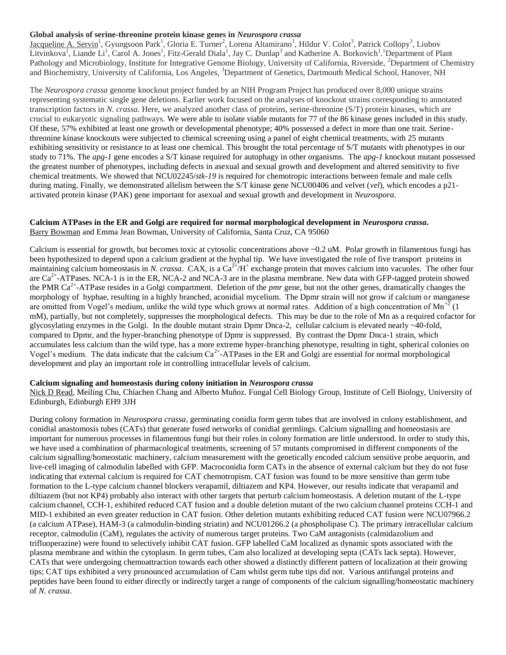#### **Global analysis of serine-threonine protein kinase genes in** *Neurospora crassa*

Jacqueline A. Servin<sup>1</sup>, Gyungsoon Park<sup>1</sup>, Gloria E. Turner<sup>2</sup>, Lorena Altamirano<sup>1</sup>, Hildur V. Colot<sup>3</sup>, Patrick Collopy<sup>3</sup>, Liubov Litvinkova<sup>1</sup>, Liande Li<sup>1</sup>, Carol A. Jones<sup>1</sup>, Fitz-Gerald Diala<sup>1</sup>, Jay C. Dunlap<sup>3</sup> and Katherine A. Borkovich<sup>1</sup>. Department of Plant Pathology and Microbiology, Institute for Integrative Genome Biology, University of California, Riverside, <sup>2</sup>Department of Chemistry and Biochemistry, University of California, Los Angeles, <sup>3</sup>Department of Genetics, Dartmouth Medical School, Hanover, NH

The *Neurospora crassa* genome knockout project funded by an NIH Program Project has produced over 8,000 unique strains representing systematic single gene deletions. Earlier work focused on the analyses of knockout strains corresponding to annotated transcription factors in *N. crassa*. Here, we analyzed another class of proteins, serine-threonine (S/T) protein kinases, which are crucial to eukaryotic signaling pathways. We were able to isolate viable mutants for 77 of the 86 kinase genes included in this study. Of these, 57% exhibited at least one growth or developmental phenotype; 40% possessed a defect in more than one trait. Serinethreonine kinase knockouts were subjected to chemical screening using a panel of eight chemical treatments, with 25 mutants exhibiting sensitivity or resistance to at least one chemical. This brought the total percentage of S/T mutants with phenotypes in our study to 71%. The *apg-1* gene encodes a S/T kinase required for autophagy in other organisms. The *apg-1* knockout mutant possessed the greatest number of phenotypes, including defects in asexual and sexual growth and development and altered sensitivity to five chemical treatments. We showed that NCU02245/*stk-19* is required for chemotropic interactions between female and male cells during mating. Finally, we demonstrated allelism between the S/T kinase gene NCU00406 and velvet (*vel*), which encodes a p21 activated protein kinase (PAK) gene important for asexual and sexual growth and development in *Neurospora*.

#### **Calcium ATPases in the ER and Golgi are required for normal morphological development in** *Neurospora crassa***.**

Barry Bowman and Emma Jean Bowman, University of California, Santa Cruz, CA 95060

Calcium is essential for growth, but becomes toxic at cytosolic concentrations above ~0.2 uM. Polar growth in filamentous fungi has been hypothesized to depend upon a calcium gradient at the hyphal tip. We have investigated the role of five transport proteins in maintaining calcium homeostasis in *N. crassa.* CAX, is a  $Ca^{2+}/H^+$  exchange protein that moves calcium into vacuoles. The other four are  $Ca^{2+}$ -ATPases. NCA-1 is in the ER, NCA-2 and NCA-3 are in the plasma membrane. New data with GFP-tagged protein showed the PMR Ca<sup>2+</sup>-ATPase resides in a Golgi compartment. Deletion of the *pmr* gene, but not the other genes, dramatically changes the morphology of hyphae, resulting in a highly branched, aconidial mycelium. The Dpmr strain will not grow if calcium or manganese are omitted from Vogel's medium, unlike the wild type which grows at normal rates. Addition of a high concentration of  $Mn^{+2}$  (1) mM), partially, but not completely, suppresses the morphological defects. This may be due to the role of Mn as a required cofactor for glycosylating enzymes in the Golgi. In the double mutant strain Dpmr Dnca-2, cellular calcium is elevated nearly ~40-fold, compared to Dpmr, and the hyper-branching phenotype of Dpmr is suppressed. By contrast the Dpmr Dnca-1 strain, which accumulates less calcium than the wild type, has a more extreme hyper-branching phenotype, resulting in tight, spherical colonies on Vogel's medium. The data indicate that the calcium  $Ca^{2+}-ATP$ ases in the ER and Golgi are essential for normal morphological development and play an important role in controlling intracellular levels of calcium.

#### **Calcium signaling and homeostasis during colony initiation in** *Neurospora crassa*

Nick D Read, Meiling Chu, Chiachen Chang and Alberto Muñoz. Fungal Cell Biology Group, Institute of Cell Biology, University of Edinburgh, Edinburgh EH9 3JH

During colony formation in *Neurospora crassa*, germinating conidia form germ tubes that are involved in colony establishment, and conidial anastomosis tubes (CATs) that generate fused networks of conidial germlings. Calcium signalling and homeostasis are important for numerous processes in filamentous fungi but their roles in colony formation are little understood. In order to study this, we have used a combination of pharmacological treatments, screening of 57 mutants compromised in different components of the calcium signalling/homeostatic machinery, calcium measurement with the genetically encoded calcium sensitive probe aequorin, and live-cell imaging of calmodulin labelled with GFP. Macroconidia form CATs in the absence of external calcium but they do not fuse indicating that external calcium is required for CAT chemotropism. CAT fusion was found to be more sensitive than germ tube formation to the L-type calcium channel blockers verapamil, diltiazem and KP4. However, our results indicate that verapamil and diltiazem (but not KP4) probably also interact with other targets that perturb calcium homeostasis. A deletion mutant of the L-type calciumchannel, CCH-1, exhibited reduced CAT fusion and a double deletion mutant of the two calcium channel proteins CCH-1 and MID-1 exhibited an even greater reduction in CAT fusion. Other deletion mutants exhibiting reduced CAT fusion were NCU07966.2 (a calcium ATPase), HAM-3 (a calmodulin-binding striatin) and NCU01266.2 (a phospholipase C). The primary intracellular calcium receptor, calmodulin (CaM), regulates the activity of numerous target proteins. Two CaM antagonists (calmidazolium and trifluoperazine) were found to selectively inhibit CAT fusion. GFP labelled CaM localized as dynamic spots associated with the plasma membrane and within the cytoplasm. In germ tubes, Cam also localized at developing septa (CATs lack septa). However, CATs that were undergoing chemoattraction towards each other showed a distinctly different pattern of localization at their growing tips; CAT tips exhibited a very pronounced accumulation of Cam whilst germ tube tips did not. Various antifungal proteins and peptides have been found to either directly or indirectly target a range of components of the calcium signalling/homeostatic machinery of *N. crassa*.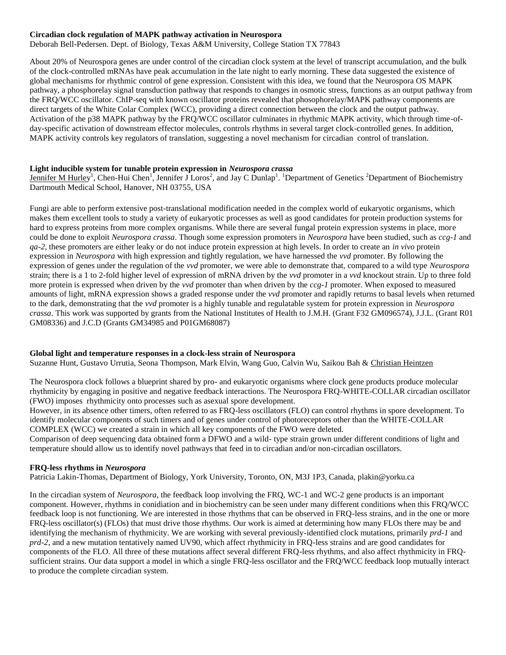#### **Circadian clock regulation of MAPK pathway activation in Neurospora**

Deborah Bell-Pedersen. Dept. of Biology, Texas A&M University, College Station TX 77843

About 20% of Neurospora genes are under control of the circadian clock system at the level of transcript accumulation, and the bulk of the clock-controlled mRNAs have peak accumulation in the late night to early morning. These data suggested the existence of global mechanisms for rhythmic control of gene expression. Consistent with this idea, we found that the Neurospora OS MAPK pathway, a phosphorelay signal transduction pathway that responds to changes in osmotic stress, functions as an output pathway from the FRQ/WCC oscillator. ChIP-seq with known oscillator proteins revealed that phosophorelay/MAPK pathway components are direct targets of the White Colar Complex (WCC), providing a direct connection between the clock and the output pathway. Activation of the p38 MAPK pathway by the FRQ/WCC oscillator culminates in rhythmic MAPK activity, which through time-ofday-specific activation of downstream effector molecules, controls rhythms in several target clock-controlled genes. In addition, MAPK activity controls key regulators of translation, suggesting a novel mechanism for circadian control of translation.

#### **Light inducible system for tunable protein expression in** *Neurospora crassa*

Jennifer M Hurley<sup>1</sup>, Chen-Hui Chen<sup>1</sup>, Jennifer J Loros<sup>2</sup>, and Jay C Dunlap<sup>1</sup>. <sup>1</sup>Department of Genetics <sup>2</sup>Department of Biochemistry Dartmouth Medical School, Hanover, NH 03755, USA

Fungi are able to perform extensive post-translational modification needed in the complex world of eukaryotic organisms, which makes them excellent tools to study a variety of eukaryotic processes as well as good candidates for protein production systems for hard to express proteins from more complex organisms. While there are several fungal protein expression systems in place, more could be done to exploit *Neurospora crassa*. Though some expression promoters in *Neurospora* have been studied, such as *ccg-1* and *qa-2*, these promoters are either leaky or do not induce protein expression at high levels. In order to create an *in vivo* protein expression in *Neurospora* with high expression and tightly regulation, we have harnessed the *vvd* promoter. By following the expression of genes under the regulation of the *vvd* promoter, we were able to demonstrate that, compared to a wild type *Neurospora* strain; there is a 1 to 2-fold higher level of expression of mRNA driven by the *vvd* promoter in a *vvd* knockout strain. Up to three fold more protein is expressed when driven by the *vvd* promoter than when driven by the *ccg-1* promoter. When exposed to measured amounts of light, mRNA expression shows a graded response under the *vvd* promoter and rapidly returns to basal levels when returned to the dark, demonstrating that the *vvd* promoter is a highly tunable and regulatable system for protein expression in *Neurospora crassa*. This work was supported by grants from the National Institutes of Health to J.M.H. (Grant F32 GM096574), J.J.L. (Grant R01 GM08336) and J.C.D (Grants GM34985 and P01GM68087)

#### **Global light and temperature responses in a clock-less strain of Neurospora**

Suzanne Hunt, Gustavo Urrutia, Seona Thompson, Mark Elvin, Wang Guo, Calvin Wu, Saikou Bah & Christian Heintzen

The Neurospora clock follows a blueprint shared by pro- and eukaryotic organisms where clock gene products produce molecular rhythmicity by engaging in positive and negative feedback interactions. The Neurospora FRQ-WHITE-COLLAR circadian oscillator (FWO) imposes rhythmicity onto processes such as asexual spore development.

However, in its absence other timers, often referred to as FRQ-less oscillators (FLO) can control rhythms in spore development. To identify molecular components of such timers and of genes under control of photoreceptors other than the WHITE-COLLAR COMPLEX (WCC) we created a strain in which all key components of the FWO were deleted.

Comparison of deep sequencing data obtained form a DFWO and a wild- type strain grown under different conditions of light and temperature should allow us to identify novel pathways that feed in to circadian and/or non-circadian oscillators.

#### **FRQ-less rhythms in** *Neurospora*

Patricia Lakin-Thomas, Department of Biology, York University, Toronto, ON, M3J 1P3, Canada, plakin@yorku.ca

In the circadian system of *Neurospora*, the feedback loop involving the FRQ, WC-1 and WC-2 gene products is an important component. However, rhythms in conidiation and in biochemistry can be seen under many different conditions when this FRQ/WCC feedback loop is not functioning. We are interested in those rhythms that can be observed in FRQ-less strains, and in the one or more FRQ-less oscillator(s) (FLOs) that must drive those rhythms. Our work is aimed at determining how many FLOs there may be and identifying the mechanism of rhythmicity. We are working with several previously-identified clock mutations, primarily *prd-1* and *prd-2*, and a new mutation tentatively named UV90, which affect rhythmicity in FRQ-less strains and are good candidates for components of the FLO. All three of these mutations affect several different FRQ-less rhythms, and also affect rhythmicity in FRQsufficient strains. Our data support a model in which a single FRQ-less oscillator and the FRQ/WCC feedback loop mutually interact to produce the complete circadian system.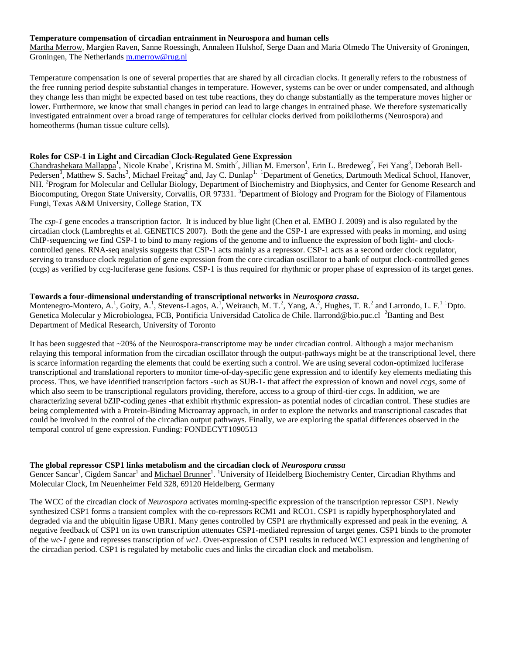#### **Temperature compensation of circadian entrainment in Neurospora and human cells**

Martha Merrow, Margien Raven, Sanne Roessingh, Annaleen Hulshof, Serge Daan and Maria Olmedo The University of Groningen, Groningen, The Netherlands [m.merrow@rug.nl](mailto:m.merrow@rug.nl)

Temperature compensation is one of several properties that are shared by all circadian clocks. It generally refers to the robustness of the free running period despite substantial changes in temperature. However, systems can be over or under compensated, and although they change less than might be expected based on test tube reactions, they do change substantially as the temperature moves higher or lower. Furthermore, we know that small changes in period can lead to large changes in entrained phase. We therefore systematically investigated entrainment over a broad range of temperatures for cellular clocks derived from poikilotherms (Neurospora) and homeotherms (human tissue culture cells).

#### **Roles for CSP-1 in Light and Circadian Clock-Regulated Gene Expression**

Chandrashekara Mallappa<sup>1</sup>, Nicole Knabe<sup>1</sup>, Kristina M. Smith<sup>2</sup>, Jillian M. Emerson<sup>1</sup>, Erin L. Bredeweg<sup>2</sup>, Fei Yang<sup>3</sup>, Deborah Bell-Pedersen<sup>3</sup>, Matthew S. Sachs<sup>3</sup>, Michael Freitag<sup>2</sup> and, Jay C. Dunlap<sup>1.</sup> <sup>1</sup>Department of Genetics, Dartmouth Medical School, Hanover, NH. <sup>2</sup> Program for Molecular and Cellular Biology, Department of Biochemistry and Biophysics, and Center for Genome Research and Biocomputing, Oregon State University, Corvallis, OR 97331. 3Department of Biology and Program for the Biology of Filamentous Fungi, Texas A&M University, College Station, TX

The *csp-1* gene encodes a transcription factor. It is induced by blue light (Chen et al. EMBO J. 2009) and is also regulated by the circadian clock (Lambreghts et al. GENETICS 2007). Both the gene and the CSP-1 are expressed with peaks in morning, and using ChIP-sequencing we find CSP-1 to bind to many regions of the genome and to influence the expression of both light- and clockcontrolled genes. RNA-seq analysis suggests that CSP-1 acts mainly as a repressor. CSP-1 acts as a second order clock regulator, serving to transduce clock regulation of gene expression from the core circadian oscillator to a bank of output clock-controlled genes (ccgs) as verified by ccg-luciferase gene fusions. CSP-1 is thus required for rhythmic or proper phase of expression of its target genes.

#### **Towards a four-dimensional understanding of transcriptional networks in** *Neurospora crassa***.**

Montenegro-Montero, A.<sup>1</sup>, Goity, A.<sup>1</sup>, Stevens-Lagos, A.<sup>1</sup>, Weirauch, M. T.<sup>2</sup>, Yang, A.<sup>2</sup>, Hughes, T. R.<sup>2</sup> and Larrondo, L. F.<sup>1</sup> <sup>1</sup>Dpto. Genetica Molecular y Microbiologea, FCB, Pontificia Universidad Catolica de Chile. llarrond@bio.puc.cl <sup>2</sup>Banting and Best Department of Medical Research, University of Toronto

It has been suggested that ~20% of the Neurospora-transcriptome may be under circadian control. Although a major mechanism relaying this temporal information from the circadian oscillator through the output-pathways might be at the transcriptional level, there is scarce information regarding the elements that could be exerting such a control. We are using several codon-optimized luciferase transcriptional and translational reporters to monitor time-of-day-specific gene expression and to identify key elements mediating this process. Thus, we have identified transcription factors -such as SUB-1- that affect the expression of known and novel *ccgs*, some of which also seem to be transcriptional regulators providing, therefore, access to a group of third-tier *ccgs*. In addition, we are characterizing several bZIP-coding genes -that exhibit rhythmic expression- as potential nodes of circadian control. These studies are being complemented with a Protein-Binding Microarray approach, in order to explore the networks and transcriptional cascades that could be involved in the control of the circadian output pathways. Finally, we are exploring the spatial differences observed in the temporal control of gene expression. Funding: FONDECYT1090513

#### **The global repressor CSP1 links metabolism and the circadian clock of** *Neurospora crassa*

Gencer Sancar<sup>1</sup>, Cigdem Sancar<sup>1</sup> and <u>Michael Brunner</u><sup>1</sup>. <sup>1</sup>University of Heidelberg Biochemistry Center, Circadian Rhythms and Molecular Clock, Im Neuenheimer Feld 328, 69120 Heidelberg, Germany

The WCC of the circadian clock of *Neurospora* activates morning-specific expression of the transcription repressor CSP1. Newly synthesized CSP1 forms a transient complex with the co-repressors RCM1 and RCO1. CSP1 is rapidly hyperphosphorylated and degraded via and the ubiquitin ligase UBR1. Many genes controlled by CSP1 are rhythmically expressed and peak in the evening. A negative feedback of CSP1 on its own transcription attenuates CSP1-mediated repression of target genes. CSP1 binds to the promoter of the *wc-1* gene and represses transcription of *wc1*. Over-expression of CSP1 results in reduced WC1 expression and lengthening of the circadian period. CSP1 is regulated by metabolic cues and links the circadian clock and metabolism.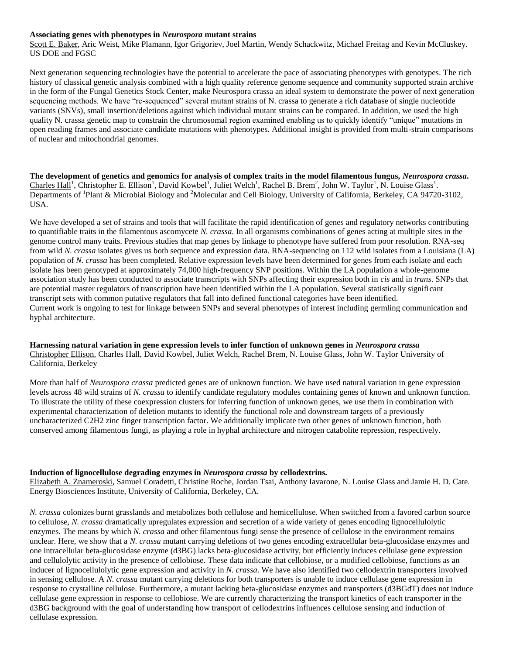#### **Associating genes with phenotypes in** *Neurospora* **mutant strains**

Scott E. Baker, Aric Weist, Mike Plamann, Igor Grigoriev, Joel Martin, Wendy Schackwitz, Michael Freitag and Kevin McCluskey. US DOE and FGSC

Next generation sequencing technologies have the potential to accelerate the pace of associating phenotypes with genotypes. The rich history of classical genetic analysis combined with a high quality reference genome sequence and community supported strain archive in the form of the Fungal Genetics Stock Center, make Neurospora crassa an ideal system to demonstrate the power of next generation sequencing methods. We have "re-sequenced" several mutant strains of N. crassa to generate a rich database of single nucleotide variants (SNVs), small insertion/deletions against which individual mutant strains can be compared. In addition, we used the high quality N. crassa genetic map to constrain the chromosomal region examined enabling us to quickly identify "unique" mutations in open reading frames and associate candidate mutations with phenotypes. Additional insight is provided from multi-strain comparisons of nuclear and mitochondrial genomes.

**The development of genetics and genomics for analysis of complex traits in the model filamentous fungus,** *Neurospora crassa***.** Charles Hall<sup>1</sup>, Christopher E. Ellison<sup>1</sup>, David Kowbel<sup>1</sup>, Juliet Welch<sup>1</sup>, Rachel B. Brem<sup>2</sup>, John W. Taylor<sup>1</sup>, N. Louise Glass<sup>1</sup>. Departments of <sup>1</sup>Plant & Microbial Biology and <sup>2</sup>Molecular and Cell Biology, University of California, Berkeley, CA 94720-3102, USA.

We have developed a set of strains and tools that will facilitate the rapid identification of genes and regulatory networks contributing to quantifiable traits in the filamentous ascomycete *N. crassa*. In all organisms combinations of genes acting at multiple sites in the genome control many traits. Previous studies that map genes by linkage to phenotype have suffered from poor resolution. RNA-seq from wild *N. crassa* isolates gives us both sequence and expression data. RNA-sequencing on 112 wild isolates from a Louisiana (LA) population of *N. crassa* has been completed. Relative expression levels have been determined for genes from each isolate and each isolate has been genotyped at approximately 74,000 high-frequency SNP positions. Within the LA population a whole-genome association study has been conducted to associate transcripts with SNPs affecting their expression both in *cis* and in *trans*. SNPs that are potential master regulators of transcription have been identified within the LA population. Several statistically significant transcript sets with common putative regulators that fall into defined functional categories have been identified. Current work is ongoing to test for linkage between SNPs and several phenotypes of interest including germling communication and hyphal architecture.

#### **Harnessing natural variation in gene expression levels to infer function of unknown genes in** *Neurospora crassa* Christopher Ellison, Charles Hall, David Kowbel, Juliet Welch, Rachel Brem, N. Louise Glass, John W. Taylor University of California, Berkeley

More than half of *Neurospora crassa* predicted genes are of unknown function. We have used natural variation in gene expression levels across 48 wild strains of *N. crassa* to identify candidate regulatory modules containing genes of known and unknown function. To illustrate the utility of these coexpression clusters for inferring function of unknown genes, we use them in combination with experimental characterization of deletion mutants to identify the functional role and downstream targets of a previously uncharacterized C2H2 zinc finger transcription factor. We additionally implicate two other genes of unknown function, both conserved among filamentous fungi, as playing a role in hyphal architecture and nitrogen catabolite repression, respectively.

#### **Induction of lignocellulose degrading enzymes in** *Neurospora crassa* **by cellodextrins.**

Elizabeth A. Znameroski, Samuel Coradetti, Christine Roche, Jordan Tsai, Anthony Iavarone, N. Louise Glass and Jamie H. D. Cate. Energy Biosciences Institute, University of California, Berkeley, CA.

*N. crassa* colonizes burnt grasslands and metabolizes both cellulose and hemicellulose. When switched from a favored carbon source to cellulose, *N. crassa* dramatically upregulates expression and secretion of a wide variety of genes encoding lignocellulolytic enzymes. The means by which *N. crassa* and other filamentous fungi sense the presence of cellulose in the environment remains unclear. Here, we show that a *N. crassa* mutant carrying deletions of two genes encoding extracellular beta-glucosidase enzymes and one intracellular beta-glucosidase enzyme (d3BG) lacks beta‐glucosidase activity, but efficiently induces cellulase gene expression and cellulolytic activity in the presence of cellobiose. These data indicate that cellobiose, or a modified cellobiose, functions as an inducer of lignocellulolytic gene expression and activity in *N. crassa*. We have also identified two cellodextrin transporters involved in sensing cellulose. A *N. crassa* mutant carrying deletions for both transporters is unable to induce cellulase gene expression in response to crystalline cellulose. Furthermore, a mutant lacking beta-glucosidase enzymes and transporters (d3BGdT) does not induce cellulase gene expression in response to cellobiose. We are currently characterizing the transport kinetics of each transporter in the d3BG background with the goal of understanding how transport of cellodextrins influences cellulose sensing and induction of cellulase expression.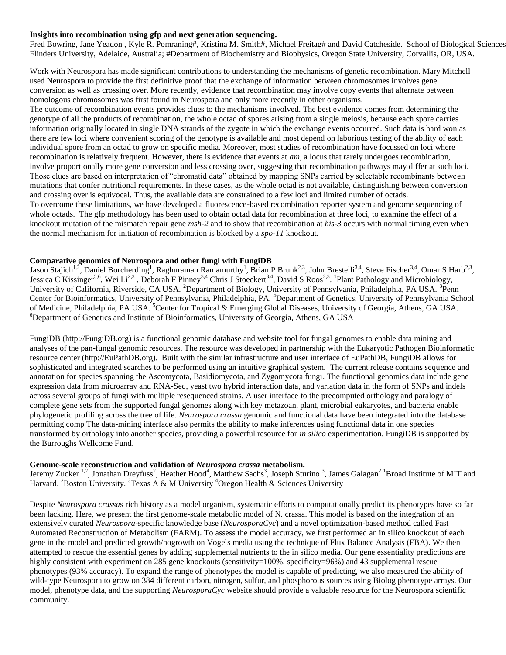#### **Insights into recombination using gfp and next generation sequencing.**

Fred Bowring, Jane Yeadon, Kyle R. Pomraning#, Kristina M. Smith#, Michael Freitag# and David Catcheside. School of Biological Sciences Flinders University, Adelaide, Australia; #Department of Biochemistry and Biophysics, Oregon State University, Corvallis, OR, USA.

Work with Neurospora has made significant contributions to understanding the mechanisms of genetic recombination. Mary Mitchell used Neurospora to provide the first definitive proof that the exchange of information between chromosomes involves gene conversion as well as crossing over. More recently, evidence that recombination may involve copy events that alternate between homologous chromosomes was first found in Neurospora and only more recently in other organisms.

The outcome of recombination events provides clues to the mechanisms involved. The best evidence comes from determining the genotype of all the products of recombination, the whole octad of spores arising from a single meiosis, because each spore carries information originally located in single DNA strands of the zygote in which the exchange events occurred. Such data is hard won as there are few loci where convenient scoring of the genotype is available and most depend on laborious testing of the ability of each individual spore from an octad to grow on specific media. Moreover, most studies of recombination have focussed on loci where recombination is relatively frequent. However, there is evidence that events at *am,* a locus that rarely undergoes recombination, involve proportionally more gene conversion and less crossing over, suggesting that recombination pathways may differ at such loci. Those clues are based on interpretation of "chromatid data" obtained by mapping SNPs carried by selectable recombinants between mutations that confer nutritional requirements. In these cases, as the whole octad is not available, distinguishing between conversion and crossing over is equivocal. Thus, the available data are constrained to a few loci and limited number of octads.

To overcome these limitations, we have developed a fluorescence‐based recombination reporter system and genome sequencing of whole octads. The gfp methodology has been used to obtain octad data for recombination at three loci, to examine the effect of a knockout mutation of the mismatch repair gene *msh-2* and to show that recombination at *his-3* occurs with normal timing even when the normal mechanism for initiation of recombination is blocked by a *spo-11* knockout.

#### **Comparative genomics of Neurospora and other fungi with FungiDB**

Jason Stajich<sup>1,2</sup>, Daniel Borcherding<sup>1</sup>, Raghuraman Ramamurthy<sup>1</sup>, Brian P Brunk<sup>2,3</sup>, John Brestelli<sup>3,4</sup>, Steve Fischer<sup>3,4</sup>, Omar S Harb<sup>2,3</sup>, Jessica C Kissinger<sup>5,6</sup>, Wei Li<sup>2,3</sup>, Deborah F Pinney<sup>3,4</sup> Chris J Stoeckert<sup>3,4</sup>, David S Roos<sup>2,3</sup>. <sup>1</sup>Plant Pathology and Microbiology, University of California, Riverside, CA USA. <sup>2</sup>Department of Biology, University of Pennsylvania, Philadelphia, PA USA. <sup>3</sup>Penn Center for Bioinformatics, University of Pennsylvania, Philadelphia, PA. <sup>4</sup>Department of Genetics, University of Pennsylvania School of Medicine, Philadelphia, PA USA. <sup>5</sup>Center for Tropical & Emerging Global Diseases, University of Georgia, Athens, GA USA. <sup>6</sup>Department of Genetics and Institute of Bioinformatics, University of Georgia, Athens, GA USA

FungiDB (http://FungiDB.org) is a functional genomic database and website tool for fungal genomes to enable data mining and analyses of the pan-fungal genomic resources. The resource was developed in partnership with the Eukaryotic Pathogen Bioinformatic resource center (http://EuPathDB.org). Built with the similar infrastructure and user interface of EuPathDB, FungiDB allows for sophisticated and integrated searches to be performed using an intuitive graphical system. The current release contains sequence and annotation for species spanning the Ascomycota, Basidiomycota, and Zygomycota fungi. The functional genomics data include gene expression data from microarray and RNA-Seq, yeast two hybrid interaction data, and variation data in the form of SNPs and indels across several groups of fungi with multiple resequenced strains. A user interface to the precomputed orthology and paralogy of complete gene sets from the supported fungal genomes along with key metazoan, plant, microbial eukaryotes, and bacteria enable phylogenetic profiling across the tree of life. *Neurospora crassa* genomic and functional data have been integrated into the database permitting comp The data-mining interface also permits the ability to make inferences using functional data in one species transformed by orthology into another species, providing a powerful resource for *in silico* experimentation. FungiDB is supported by the Burroughs Wellcome Fund.

#### **Genome-scale reconstruction and validation of** *Neurospora crassa* **metabolism.**

Jeremy Zucker<sup>1,2</sup>, Jonathan Dreyfuss<sup>2</sup>, Heather Hood<sup>4</sup>, Matthew Sachs<sup>3</sup>, Joseph Sturino<sup>3</sup>, James Galagan<sup>21</sup> Broad Institute of MIT and Harvard. <sup>2</sup>Boston University. <sup>3</sup>Texas A & M University <sup>4</sup>Oregon Health & Sciences University

Despite *Neurospora crassa*s rich history as a model organism, systematic efforts to computationally predict its phenotypes have so far been lacking. Here, we present the first genome-scale metabolic model of N. crassa. This model is based on the integration of an extensively curated *Neurospora*-specific knowledge base (*NeurosporaCyc*) and a novel optimization-based method called Fast Automated Reconstruction of Metabolism (FARM). To assess the model accuracy, we first performed an in silico knockout of each gene in the model and predicted growth/nogrowth on Vogels media using the technique of Flux Balance Analysis (FBA). We then attempted to rescue the essential genes by adding supplemental nutrients to the in silico media. Our gene essentiality predictions are highly consistent with experiment on 285 gene knockouts (sensitivity=100%, specificity=96%) and 43 supplemental rescue phenotypes (93% accuracy). To expand the range of phenotypes the model is capable of predicting, we also measured the ability of wild-type Neurospora to grow on 384 different carbon, nitrogen, sulfur, and phosphorous sources using Biolog phenotype arrays. Our model, phenotype data, and the supporting *NeurosporaCyc* website should provide a valuable resource for the Neurospora scientific community.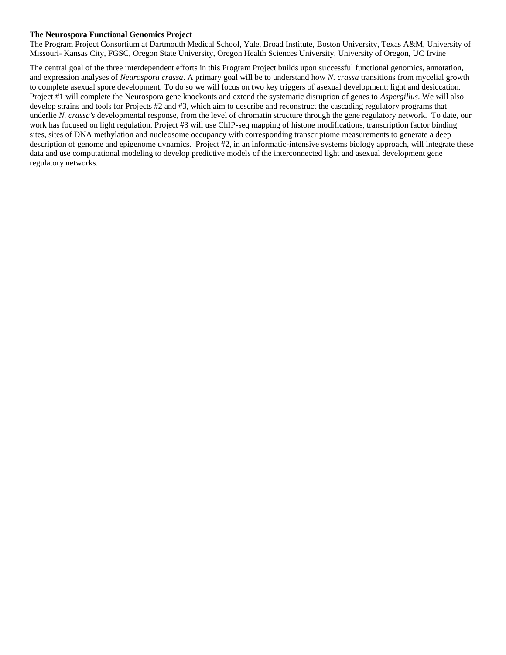#### **The Neurospora Functional Genomics Project**

The Program Project Consortium at Dartmouth Medical School, Yale, Broad Institute, Boston University, Texas A&M, University of Missouri- Kansas City, FGSC, Oregon State University, Oregon Health Sciences University, University of Oregon, UC Irvine

The central goal of the three interdependent efforts in this Program Project builds upon successful functional genomics, annotation, and expression analyses of *Neurospora crassa*. A primary goal will be to understand how *N. crassa* transitions from mycelial growth to complete asexual spore development. To do so we will focus on two key triggers of asexual development: light and desiccation. Project #1 will complete the Neurospora gene knockouts and extend the systematic disruption of genes to *Aspergillus*. We will also develop strains and tools for Projects #2 and #3, which aim to describe and reconstruct the cascading regulatory programs that underlie *N. crassa's* developmental response, from the level of chromatin structure through the gene regulatory network. To date, our work has focused on light regulation. Project #3 will use ChIP-seq mapping of histone modifications, transcription factor binding sites, sites of DNA methylation and nucleosome occupancy with corresponding transcriptome measurements to generate a deep description of genome and epigenome dynamics. Project #2, in an informatic-intensive systems biology approach, will integrate these data and use computational modeling to develop predictive models of the interconnected light and asexual development gene regulatory networks.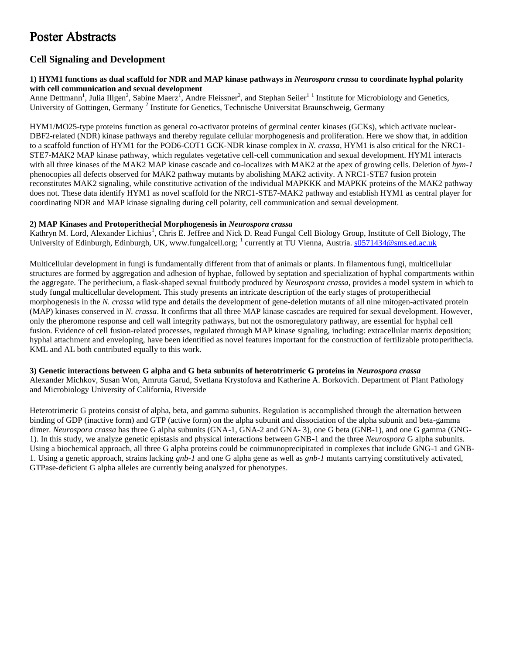## Poster Abstracts

#### **Cell Signaling and Development**

#### **1) HYM1 functions as dual scaffold for NDR and MAP kinase pathways in** *Neurospora crassa* **to coordinate hyphal polarity with cell communication and sexual development**

Anne Dettmann<sup>1</sup>, Julia Illgen<sup>2</sup>, Sabine Maerz<sup>1</sup>, Andre Fleissner<sup>2</sup>, and Stephan Seiler<sup>11</sup> Institute for Microbiology and Genetics, University of Gottingen, Germany<sup>2</sup> Institute for Genetics, Technische Universitat Braunschweig, Germany

HYM1/MO25-type proteins function as general co-activator proteins of germinal center kinases (GCKs), which activate nuclear-DBF2-related (NDR) kinase pathways and thereby regulate cellular morphogenesis and proliferation. Here we show that, in addition to a scaffold function of HYM1 for the POD6-COT1 GCK-NDR kinase complex in *N. crassa*, HYM1 is also critical for the NRC1- STE7-MAK2 MAP kinase pathway, which regulates vegetative cell-cell communication and sexual development. HYM1 interacts with all three kinases of the MAK2 MAP kinase cascade and co-localizes with MAK2 at the apex of growing cells. Deletion of *hym-1* phenocopies all defects observed for MAK2 pathway mutants by abolishing MAK2 activity. A NRC1-STE7 fusion protein reconstitutes MAK2 signaling, while constitutive activation of the individual MAPKKK and MAPKK proteins of the MAK2 pathway does not. These data identify HYM1 as novel scaffold for the NRC1-STE7-MAK2 pathway and establish HYM1 as central player for coordinating NDR and MAP kinase signaling during cell polarity, cell communication and sexual development.

#### **2) MAP Kinases and Protoperithecial Morphogenesis in** *Neurospora crassa*

Kathryn M. Lord, Alexander Lichius<sup>1</sup>, Chris E. Jeffree and Nick D. Read Fungal Cell Biology Group, Institute of Cell Biology, The University of Edinburgh, Edinburgh, UK, www.fungalcell.org; <sup>1</sup> currently at TU Vienna, Austria. [s0571434@sms.ed.ac.uk](mailto:s0571434@sms.ed.ac.uk)

Multicellular development in fungi is fundamentally different from that of animals or plants. In filamentous fungi, multicellular structures are formed by aggregation and adhesion of hyphae, followed by septation and specialization of hyphal compartments within the aggregate. The perithecium, a flask-shaped sexual fruitbody produced by *Neurospora crassa*, provides a model system in which to study fungal multicellular development. This study presents an intricate description of the early stages of protoperithecial morphogenesis in the *N. crassa* wild type and details the development of gene-deletion mutants of all nine mitogen-activated protein (MAP) kinases conserved in *N. crassa*. It confirms that all three MAP kinase cascades are required for sexual development. However, only the pheromone response and cell wall integrity pathways, but not the osmoregulatory pathway, are essential for hyphal cell fusion. Evidence of cell fusion-related processes, regulated through MAP kinase signaling, including: extracellular matrix deposition; hyphal attachment and enveloping, have been identified as novel features important for the construction of fertilizable protoperithecia. KML and AL both contributed equally to this work.

#### **3) Genetic interactions between G alpha and G beta subunits of heterotrimeric G proteins in** *Neurospora crassa* Alexander Michkov, Susan Won, Amruta Garud, Svetlana Krystofova and Katherine A. Borkovich. Department of Plant Pathology

and Microbiology University of California, Riverside Heterotrimeric G proteins consist of alpha, beta, and gamma subunits. Regulation is accomplished through the alternation between

binding of GDP (inactive form) and GTP (active form) on the alpha subunit and dissociation of the alpha subunit and beta-gamma dimer. *Neurospora crassa* has three G alpha subunits (GNA-1, GNA-2 and GNA-3), one G beta (GNB-1), and one G gamma (GNG-1). In this study, we analyze genetic epistasis and physical interactions between GNB-1 and the three *Neurospora* G alpha subunits. Using a biochemical approach, all three G alpha proteins could be coimmunoprecipitated in complexes that include GNG-1 and GNB-1. Using a genetic approach, strains lacking *gnb-1* and one G alpha gene as well as *gnb-1* mutants carrying constitutively activated, GTPase-deficient G alpha alleles are currently being analyzed for phenotypes.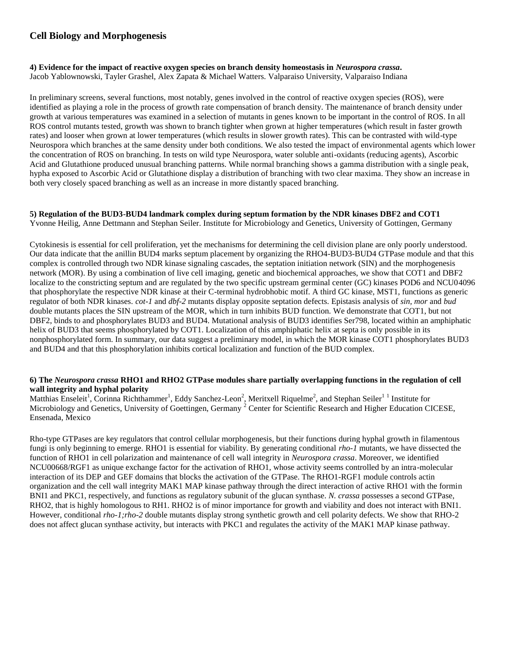#### **Cell Biology and Morphogenesis**

#### **4) Evidence for the impact of reactive oxygen species on branch density homeostasis in** *Neurospora crassa***.**  Jacob Yablownowski, Tayler Grashel, Alex Zapata & Michael Watters. Valparaiso University, Valparaiso Indiana

In preliminary screens, several functions, most notably, genes involved in the control of reactive oxygen species (ROS), were identified as playing a role in the process of growth rate compensation of branch density. The maintenance of branch density under growth at various temperatures was examined in a selection of mutants in genes known to be important in the control of ROS. In all ROS control mutants tested, growth was shown to branch tighter when grown at higher temperatures (which result in faster growth rates) and looser when grown at lower temperatures (which results in slower growth rates). This can be contrasted with wild-type Neurospora which branches at the same density under both conditions. We also tested the impact of environmental agents which lower the concentration of ROS on branching. In tests on wild type Neurospora, water soluble anti-oxidants (reducing agents), Ascorbic Acid and Glutathione produced unusual branching patterns. While normal branching shows a gamma distribution with a single peak, hypha exposed to Ascorbic Acid or Glutathione display a distribution of branching with two clear maxima. They show an increase in both very closely spaced branching as well as an increase in more distantly spaced branching.

#### **5) Regulation of the BUD3-BUD4 landmark complex during septum formation by the NDR kinases DBF2 and COT1** Yvonne Heilig, Anne Dettmann and Stephan Seiler. Institute for Microbiology and Genetics, University of Gottingen, Germany

Cytokinesis is essential for cell proliferation, yet the mechanisms for determining the cell division plane are only poorly understood. Our data indicate that the anillin BUD4 marks septum placement by organizing the RHO4-BUD3-BUD4 GTPase module and that this complex is controlled through two NDR kinase signaling cascades, the septation initiation network (SIN) and the morphogenesis network (MOR). By using a combination of live cell imaging, genetic and biochemical approaches, we show that COT1 and DBF2 localize to the constricting septum and are regulated by the two specific upstream germinal center (GC) kinases POD6 and NCU04096 that phosphorylate the respective NDR kinase at their C-terminal hydrobhobic motif. A third GC kinase, MST1, functions as generic regulator of both NDR kinases. *cot-1* and *dbf-2* mutants display opposite septation defects. Epistasis analysis of *sin, mor* and *bud* double mutants places the SIN upstream of the MOR, which in turn inhibits BUD function. We demonstrate that COT1, but not DBF2, binds to and phosphorylates BUD3 and BUD4. Mutational analysis of BUD3 identifies Ser798, located within an amphiphatic helix of BUD3 that seems phosphorylated by COT1. Localization of this amphiphatic helix at septa is only possible in its nonphosphorylated form. In summary, our data suggest a preliminary model, in which the MOR kinase COT1 phosphorylates BUD3 and BUD4 and that this phosphorylation inhibits cortical localization and function of the BUD complex.

#### **6) The** *Neurospora crassa* **RHO1 and RHO2 GTPase modules share partially overlapping functions in the regulation of cell wall integrity and hyphal polarity**

Matthias Enseleit<sup>1</sup>, Corinna Richthammer<sup>1</sup>, Eddy Sanchez-Leon<sup>2</sup>, Meritxell Riquelme<sup>2</sup>, and Stephan Seiler<sup>11</sup> Institute for Microbiology and Genetics, University of Goettingen, Germany <sup>2</sup> Center for Scientific Research and Higher Education CICESE, Ensenada, Mexico

Rho-type GTPases are key regulators that control cellular morphogenesis, but their functions during hyphal growth in filamentous fungi is only beginning to emerge. RHO1 is essential for viability. By generating conditional *rho-1* mutants, we have dissected the function of RHO1 in cell polarization and maintenance of cell wall integrity in *Neurospora crassa*. Moreover, we identified NCU00668/RGF1 as unique exchange factor for the activation of RHO1, whose activity seems controlled by an intra-molecular interaction of its DEP and GEF domains that blocks the activation of the GTPase. The RHO1-RGF1 module controls actin organization and the cell wall integrity MAK1 MAP kinase pathway through the direct interaction of active RHO1 with the formin BNI1 and PKC1, respectively, and functions as regulatory subunit of the glucan synthase. *N. crassa* possesses a second GTPase, RHO2, that is highly homologous to RH1. RHO2 is of minor importance for growth and viability and does not interact with BNI1. However, conditional *rho-1;rho-2* double mutants display strong synthetic growth and cell polarity defects. We show that RHO-2 does not affect glucan synthase activity, but interacts with PKC1 and regulates the activity of the MAK1 MAP kinase pathway.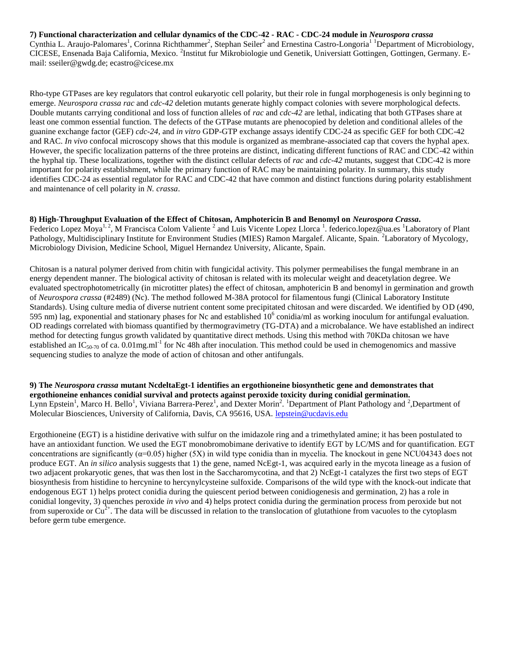#### **7) Functional characterization and cellular dynamics of the CDC-42 - RAC - CDC-24 module in** *Neurospora crassa*

Cynthia L. Araujo-Palomares<sup>1</sup>, Corinna Richthammer<sup>2</sup>, Stephan Seiler<sup>2</sup> and Ernestina Castro-Longoria<sup>1</sup> <sup>1</sup>Department of Microbiology, CICESE, Ensenada Baja California, Mexico. <sup>2</sup>Institut fur Mikrobiologie und Genetik, Universiatt Gottingen, Gottingen, Germany. Email: sseiler@gwdg.de; ecastro@cicese.mx

Rho-type GTPases are key regulators that control eukaryotic cell polarity, but their role in fungal morphogenesis is only beginning to emerge. *Neurospora crassa rac* and *cdc-42* deletion mutants generate highly compact colonies with severe morphological defects. Double mutants carrying conditional and loss of function alleles of *rac* and *cdc-42* are lethal, indicating that both GTPases share at least one common essential function. The defects of the GTPase mutants are phenocopied by deletion and conditional alleles of the guanine exchange factor (GEF) *cdc-24*, and *in vitro* GDP-GTP exchange assays identify CDC-24 as specific GEF for both CDC-42 and RAC. *In vivo* confocal microscopy shows that this module is organized as membrane-associated cap that covers the hyphal apex. However, the specific localization patterns of the three proteins are distinct, indicating different functions of RAC and CDC-42 within the hyphal tip. These localizations, together with the distinct cellular defects of *rac* and *cdc-42* mutants, suggest that CDC-42 is more important for polarity establishment, while the primary function of RAC may be maintaining polarity. In summary, this study identifies CDC-24 as essential regulator for RAC and CDC-42 that have common and distinct functions during polarity establishment and maintenance of cell polarity in *N. crassa*.

## **8) High-Throughput Evaluation of the Effect of Chitosan, Amphotericin B and Benomyl on** *Neurospora Crassa***.**

Federico Lopez Moya<sup>1, 2</sup>, M Francisca Colom Valiente <sup>2</sup> and Luis Vicente Lopez Llorca<sup>1</sup>. federico.lopez@ua.es <sup>1</sup>Laboratory of Plant Pathology, Multidisciplinary Institute for Environment Studies (MIES) Ramon Margalef. Alicante, Spain. <sup>2</sup>Laboratory of Mycology, Microbiology Division, Medicine School, Miguel Hernandez University, Alicante, Spain.

Chitosan is a natural polymer derived from chitin with fungicidal activity. This polymer permeabilises the fungal membrane in an energy dependent manner. The biological activity of chitosan is related with its molecular weight and deacetylation degree. We evaluated spectrophotometrically (in microtitter plates) the effect of chitosan, amphotericin B and benomyl in germination and growth of *Neurospora crassa* (#2489) (Nc). The method followed M-38A protocol for filamentous fungi (Clinical Laboratory Institute Standards). Using culture media of diverse nutrient content some precipitated chitosan and were discarded. We identified by OD (490, 595 nm) lag, exponential and stationary phases for Nc and established  $10^6$  conidia/ml as working inoculum for antifungal evaluation. OD readings correlated with biomass quantified by thermogravimetry (TG-DTA) and a microbalance. We have established an indirect method for detecting fungus growth validated by quantitative direct methods. Using this method with 70KDa chitosan we have established an IC<sub>50-70</sub> of ca. 0.01mg.ml<sup>-1</sup> for Nc 48h after inoculation. This method could be used in chemogenomics and massive sequencing studies to analyze the mode of action of chitosan and other antifungals.

**9) The** *Neurospora crassa* **mutant NcdeltaEgt-1 identifies an ergothioneine biosynthetic gene and demonstrates that ergothioneine enhances conidial survival and protects against peroxide toxicity during conidial germination.**  Lynn Epstein<sup>1</sup>, Marco H. Bello<sup>1</sup>, Viviana Barrera-Perez<sup>1</sup>, and Dexter Morin<sup>2</sup>. <sup>1</sup>Department of Plant Pathology and <sup>2</sup>, Department of Molecular Biosciences, University of California, Davis, CA 95616, USA. [lepstein@ucdavis.edu](mailto:lepstein@ucdavis.edu)

Ergothioneine (EGT) is a histidine derivative with sulfur on the imidazole ring and a trimethylated amine; it has been postulated to have an antioxidant function. We used the EGT monobromobimane derivative to identify EGT by LC/MS and for quantification. EGT concentrations are significantly  $(\alpha=0.05)$  higher  $(5X)$  in wild type conidia than in mycelia. The knockout in gene NCU04343 does not produce EGT. An *in silico* analysis suggests that 1) the gene, named NcEgt-1, was acquired early in the mycota lineage as a fusion of two adjacent prokaryotic genes, that was then lost in the Saccharomycotina, and that 2) NcEgt-1 catalyzes the first two steps of EGT biosynthesis from histidine to hercynine to hercynylcysteine sulfoxide. Comparisons of the wild type with the knock-out indicate that endogenous EGT 1) helps protect conidia during the quiescent period between conidiogenesis and germination, 2) has a role in conidial longevity, 3) quenches peroxide *in vivo* and 4) helps protect conidia during the germination process from peroxide but not from superoxide or  $Cu^{2+}$ . The data will be discussed in relation to the translocation of glutathione from vacuoles to the cytoplasm before germ tube emergence.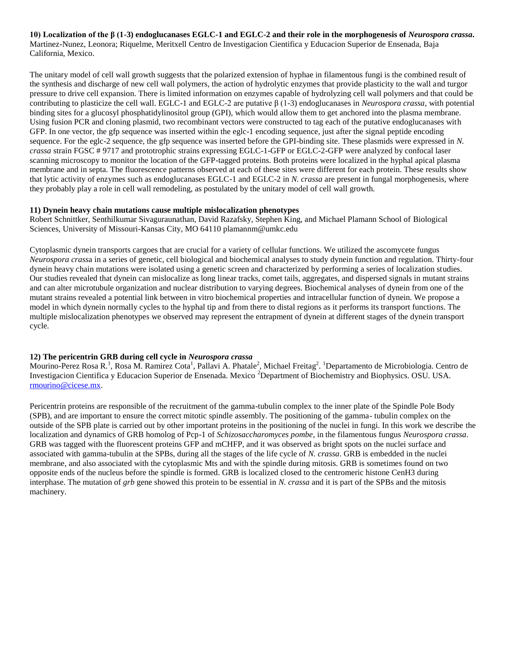**10) Localization of the β (1-3) endoglucanases EGLC-1 and EGLC-2 and their role in the morphogenesis of** *Neurospora crassa***.**  Martinez-Nunez, Leonora; Riquelme, Meritxell Centro de Investigacion Cientifica y Educacion Superior de Ensenada, Baja California, Mexico.

The unitary model of cell wall growth suggests that the polarized extension of hyphae in filamentous fungi is the combined result of the synthesis and discharge of new cell wall polymers, the action of hydrolytic enzymes that provide plasticity to the wall and turgor pressure to drive cell expansion. There is limited information on enzymes capable of hydrolyzing cell wall polymers and that could be contributing to plasticize the cell wall. EGLC-1 and EGLC-2 are putative β (1-3) endoglucanases in *Neurospora crassa*, with potential binding sites for a glucosyl phosphatidylinositol group (GPI), which would allow them to get anchored into the plasma membrane. Using fusion PCR and cloning plasmid, two recombinant vectors were constructed to tag each of the putative endoglucanases with GFP. In one vector, the gfp sequence was inserted within the eglc-1 encoding sequence, just after the signal peptide encoding sequence. For the eglc-2 sequence, the gfp sequence was inserted before the GPI-binding site. These plasmids were expressed in *N. crassa* strain FGSC # 9717 and prototrophic strains expressing EGLC-1-GFP or EGLC-2-GFP were analyzed by confocal laser scanning microscopy to monitor the location of the GFP-tagged proteins. Both proteins were localized in the hyphal apical plasma membrane and in septa. The fluorescence patterns observed at each of these sites were different for each protein. These results show that lytic activity of enzymes such as endoglucanases EGLC-1 and EGLC-2 in *N. crassa* are present in fungal morphogenesis, where they probably play a role in cell wall remodeling, as postulated by the unitary model of cell wall growth.

#### **11) Dynein heavy chain mutations cause multiple mislocalization phenotypes**

Robert Schnittker, Senthilkumar Sivaguraunathan, David Razafsky, Stephen King, and Michael Plamann School of Biological Sciences, University of Missouri-Kansas City, MO 64110 plamannm@umkc.edu

Cytoplasmic dynein transports cargoes that are crucial for a variety of cellular functions. We utilized the ascomycete fungus *Neurospora crass*a in a series of genetic, cell biological and biochemical analyses to study dynein function and regulation. Thirty-four dynein heavy chain mutations were isolated using a genetic screen and characterized by performing a series of localization studies. Our studies revealed that dynein can mislocalize as long linear tracks, comet tails, aggregates, and dispersed signals in mutant strains and can alter microtubule organization and nuclear distribution to varying degrees. Biochemical analyses of dynein from one of the mutant strains revealed a potential link between in vitro biochemical properties and intracellular function of dynein. We propose a model in which dynein normally cycles to the hyphal tip and from there to distal regions as it performs its transport functions. The multiple mislocalization phenotypes we observed may represent the entrapment of dynein at different stages of the dynein transport cycle.

#### **12) The pericentrin GRB during cell cycle in** *Neurospora crassa*

Mourino-Perez Rosa R.<sup>1</sup>, Rosa M. Ramirez Cota<sup>1</sup>, Pallavi A. Phatale<sup>2</sup>, Michael Freitag<sup>2</sup>. <sup>1</sup>Departamento de Microbiologia. Centro de Investigacion Cientifica y Educacion Superior de Ensenada. Mexico <sup>2</sup>Department of Biochemistry and Biophysics. OSU. USA. [rmourino@cicese.mx.](mailto:rmourino@cicese.mx)

Pericentrin proteins are responsible of the recruitment of the gamma-tubulin complex to the inner plate of the Spindle Pole Body (SPB), and are important to ensure the correct mitotic spindle assembly. The positioning of the gamma- tubulin complex on the outside of the SPB plate is carried out by other important proteins in the positioning of the nuclei in fungi. In this work we describe the localization and dynamics of GRB homolog of Pcp-1 of *Schizosaccharomyces pombe*, in the filamentous fungus *Neurospora crassa*. GRB was tagged with the fluorescent proteins GFP and mCHFP, and it was observed as bright spots on the nuclei surface and associated with gamma-tubulin at the SPBs, during all the stages of the life cycle of *N. crassa*. GRB is embedded in the nuclei membrane, and also associated with the cytoplasmic Mts and with the spindle during mitosis. GRB is sometimes found on two opposite ends of the nucleus before the spindle is formed. GRB is localized closed to the centromeric histone CenH3 during interphase. The mutation of *grb* gene showed this protein to be essential in *N. crassa* and it is part of the SPBs and the mitosis machinery.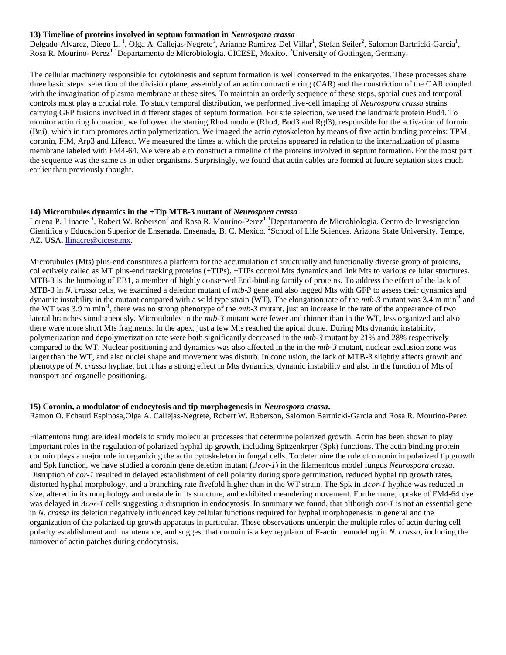#### **13) Timeline of proteins involved in septum formation in** *Neurospora crassa*

Delgado-Alvarez, Diego L.<sup>1</sup>, Olga A. Callejas-Negrete<sup>1</sup>, Arianne Ramirez-Del Villar<sup>1</sup>, Stefan Seiler<sup>2</sup>, Salomon Bartnicki-Garcia<sup>1</sup>, Rosa R. Mourino- Perez<sup>1 1</sup>Departamento de Microbiologia. CICESE, Mexico. <sup>2</sup>University of Gottingen, Germany.

The cellular machinery responsible for cytokinesis and septum formation is well conserved in the eukaryotes. These processes share three basic steps: selection of the division plane, assembly of an actin contractile ring (CAR) and the constriction of the CAR coupled with the invagination of plasma membrane at these sites. To maintain an orderly sequence of these steps, spatial cues and temporal controls must play a crucial role. To study temporal distribution, we performed live-cell imaging of *Neurospora crassa* strains carrying GFP fusions involved in different stages of septum formation. For site selection, we used the landmark protein Bud4. To monitor actin ring formation, we followed the starting Rho4 module (Rho4, Bud3 and Rgf3), responsible for the activation of formin (Bni), which in turn promotes actin polymerization. We imaged the actin cytoskeleton by means of five actin binding proteins: TPM, coronin, FIM, Arp3 and Lifeact. We measured the times at which the proteins appeared in relation to the internalization of plasma membrane labeled with FM4-64. We were able to construct a timeline of the proteins involved in septum formation. For the most part the sequence was the same as in other organisms. Surprisingly, we found that actin cables are formed at future septation sites much earlier than previously thought.

#### **14) Microtubules dynamics in the +Tip MTB-3 mutant of** *Neurospora crassa*

Lorena P. Linacre<sup>1</sup>, Robert W. Roberson<sup>2</sup> and Rosa R. Mourino-Perez<sup>11</sup> Departamento de Microbiologia. Centro de Investigacion Cientifica y Educacion Superior de Ensenada. Ensenada, B. C. Mexico. <sup>2</sup>School of Life Sciences. Arizona State University. Tempe, AZ. USA. [llinacre@cicese.mx.](mailto:llinacre@cicese.mx)

Microtubules (Mts) plus-end constitutes a platform for the accumulation of structurally and functionally diverse group of proteins, collectively called as MT plus-end tracking proteins (+TIPs). +TIPs control Mts dynamics and link Mts to various cellular structures. MTB-3 is the homolog of EB1, a member of highly conserved End-binding family of proteins. To address the effect of the lack of MTB-3 in *N. crassa* cells, we examined a deletion mutant of *mtb-3* gene and also tagged Mts with GFP to assess their dynamics and dynamic instability in the mutant compared with a wild type strain (WT). The elongation rate of the *mtb-3* mutant was 3.4 m min<sup>-1</sup> and the WT was 3.9 m min-1 , there was no strong phenotype of the *mtb-3* mutant, just an increase in the rate of the appearance of two lateral branches simultaneously. Microtubules in the *mtb-3* mutant were fewer and thinner than in the WT, less organized and also there were more short Mts fragments. In the apex, just a few Mts reached the apical dome. During Mts dynamic instability, polymerization and depolymerization rate were both significantly decreased in the *mtb-3* mutant by 21% and 28% respectively compared to the WT. Nuclear positioning and dynamics was also affected in the in the *mtb-3* mutant, nuclear exclusion zone was larger than the WT, and also nuclei shape and movement was disturb. In conclusion, the lack of MTB-3 slightly affects growth and phenotype of *N. crassa* hyphae, but it has a strong effect in Mts dynamics, dynamic instability and also in the function of Mts of transport and organelle positioning.

#### **15) Coronin, a modulator of endocytosis and tip morphogenesis in** *Neurospora crassa***.**

Ramon O. Echauri Espinosa,Olga A. Callejas-Negrete, Robert W. Roberson, Salomon Bartnicki-Garcia and Rosa R. Mourino-Perez

Filamentous fungi are ideal models to study molecular processes that determine polarized growth. Actin has been shown to play important roles in the regulation of polarized hyphal tip growth, including Spitzenkrper (Spk) functions. The actin binding protein coronin plays a major role in organizing the actin cytoskeleton in fungal cells. To determine the role of coronin in polarized tip growth and Spk function, we have studied a coronin gene deletion mutant (*Δcor-1*) in the filamentous model fungus *Neurospora crassa*. Disruption of *cor-1* resulted in delayed establishment of cell polarity during spore germination, reduced hyphal tip growth rates, distorted hyphal morphology, and a branching rate fivefold higher than in the WT strain. The Spk in *Δcor-1* hyphae was reduced in size, altered in its morphology and unstable in its structure, and exhibited meandering movement. Furthermore, uptake of FM4-64 dye was delayed in *Δcor-1* cells suggesting a disruption in endocytosis. In summary we found, that although *cor-1* is not an essential gene in *N. crassa* its deletion negatively influenced key cellular functions required for hyphal morphogenesis in general and the organization of the polarized tip growth apparatus in particular. These observations underpin the multiple roles of actin during cell polarity establishment and maintenance, and suggest that coronin is a key regulator of F-actin remodeling in *N. crassa*, including the turnover of actin patches during endocytosis.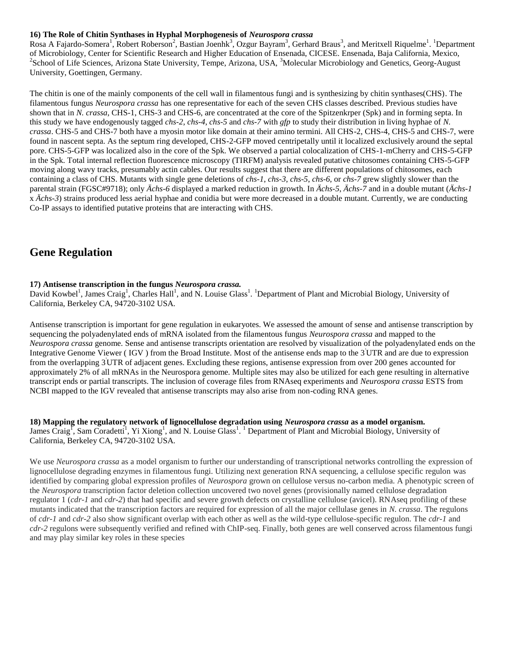#### **16) The Role of Chitin Synthases in Hyphal Morphogenesis of** *Neurospora crassa*

Rosa A Fajardo-Somera<sup>1</sup>, Robert Roberson<sup>2</sup>, Bastian Joenhk<sup>3</sup>, Ozgur Bayram<sup>3</sup>, Gerhard Braus<sup>3</sup>, and Meritxell Riquelme<sup>1</sup>. <sup>1</sup>Department of Microbiology, Center for Scientific Research and Higher Education of Ensenada, CICESE. Ensenada, Baja California, Mexico, <sup>2</sup>School of Life Sciences, Arizona State University, Tempe, Arizona, USA, <sup>3</sup>Molecular Microbiology and Genetics, Georg-August University, Goettingen, Germany.

The chitin is one of the mainly components of the cell wall in filamentous fungi and is synthesizing by chitin synthases(CHS). The filamentous fungus *Neurospora crassa* has one representative for each of the seven CHS classes described. Previous studies have shown that in *N. crassa*, CHS-1, CHS-3 and CHS-6, are concentrated at the core of the Spitzenkrper (Spk) and in forming septa. In this study we have endogenously tagged *chs-2*, *chs-4*, *chs-5* and *chs-7* with *gfp* to study their distribution in living hyphae of *N. crassa*. CHS-5 and CHS-7 both have a myosin motor like domain at their amino termini. All CHS-2, CHS-4, CHS-5 and CHS-7, were found in nascent septa. As the septum ring developed, CHS-2-GFP moved centripetally until it localized exclusively around the septal pore. CHS-5-GFP was localized also in the core of the Spk. We observed a partial colocalization of CHS-1-mCherry and CHS-5-GFP in the Spk. Total internal reflection fluorescence microscopy (TIRFM) analysis revealed putative chitosomes containing CHS-5-GFP moving along wavy tracks, presumably actin cables. Our results suggest that there are different populations of chitosomes, each containing a class of CHS. Mutants with single gene deletions of *chs-1*, *chs-3*, *chs-5*, *chs-6*, or *chs-7* grew slightly slower than the parental strain (FGSC#9718); only *Ächs-6* displayed a marked reduction in growth. In *Ächs-5*, *Ächs-7* and in a double mutant (*Ächs-1* x *Ächs-3*) strains produced less aerial hyphae and conidia but were more decreased in a double mutant. Currently, we are conducting Co-IP assays to identified putative proteins that are interacting with CHS.

### **Gene Regulation**

#### **17) Antisense transcription in the fungus** *Neurospora crassa.*

David Kowbel<sup>1</sup>, James Craig<sup>1</sup>, Charles Hall<sup>1</sup>, and N. Louise Glass<sup>1</sup>. <sup>1</sup>Department of Plant and Microbial Biology, University of California, Berkeley CA, 94720-3102 USA.

Antisense transcription is important for gene regulation in eukaryotes. We assessed the amount of sense and antisense transcription by sequencing the polyadenylated ends of mRNA isolated from the filamentous fungus *Neurospora crassa* and mapped to the *Neurospora crassa* genome. Sense and antisense transcripts orientation are resolved by visualization of the polyadenylated ends on the Integrative Genome Viewer ( IGV ) from the Broad Institute. Most of the antisense ends map to the 3'UTR and are due to expression from the overlapping 3'UTR of adjacent genes. Excluding these regions, antisense expression from over 200 genes accounted for approximately 2% of all mRNAs in the Neurospora genome. Multiple sites may also be utilized for each gene resulting in alternative transcript ends or partial transcripts. The inclusion of coverage files from RNAseq experiments and *Neurospora crassa* ESTS from NCBI mapped to the IGV revealed that antisense transcripts may also arise from non-coding RNA genes.

#### **18) Mapping the regulatory network of lignocellulose degradation using** *Neurospora crassa* **as a model organism.**  James Craig<sup>1</sup>, Sam Coradetti<sup>1</sup>, Yi Xiong<sup>1</sup>, and N. Louise Glass<sup>1</sup>. <sup>1</sup> Department of Plant and Microbial Biology, University of California, Berkeley CA, 94720-3102 USA.

We use *Neurospora crassa* as a model organism to further our understanding of transcriptional networks controlling the expression of lignocellulose degrading enzymes in filamentous fungi. Utilizing next generation RNA sequencing, a cellulose specific regulon was identified by comparing global expression profiles of *Neurospora* grown on cellulose versus no-carbon media. A phenotypic screen of the *Neurospora* transcription factor deletion collection uncovered two novel genes (provisionally named cellulose degradation regulator 1 (*cdr-1* and *cdr-2*) that had specific and severe growth defects on crystalline cellulose (avicel). RNAseq profiling of these mutants indicated that the transcription factors are required for expression of all the major cellulase genes in *N. crassa*. The regulons of *cdr-1* and *cdr-2* also show significant overlap with each other as well as the wild-type cellulose-specific regulon. The *cdr-1* and *cdr-2* regulons were subsequently verified and refined with ChIP-seq. Finally, both genes are well conserved across filamentous fungi and may play similar key roles in these species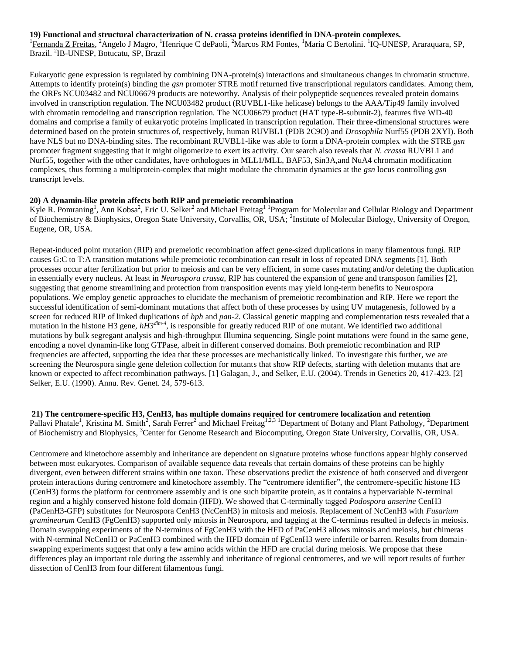#### **19) Functional and structural characterization of N. crassa proteins identified in DNA-protein complexes.**

<sup>1</sup>Fernanda Z Freitas, <sup>2</sup>Angelo J Magro, <sup>1</sup>Henrique C dePaoli, <sup>2</sup>Marcos RM Fontes, <sup>1</sup>Maria C Bertolini. <sup>1</sup>IQ-UNESP, Araraquara, SP, Brazil. <sup>2</sup>IB-UNESP, Botucatu, SP, Brazil

Eukaryotic gene expression is regulated by combining DNA-protein(s) interactions and simultaneous changes in chromatin structure. Attempts to identify protein(s) binding the *gsn* promoter STRE motif returned five transcriptional regulators candidates. Among them, the ORFs NCU03482 and NCU06679 products are noteworthy. Analysis of their polypeptide sequences revealed protein domains involved in transcription regulation. The NCU03482 product (RUVBL1-like helicase) belongs to the AAA/Tip49 family involved with chromatin remodeling and transcription regulation. The NCU06679 product (HAT type-B-subunit-2), features five WD-40 domains and comprise a family of eukaryotic proteins implicated in transcription regulation. Their three-dimensional structures were determined based on the protein structures of, respectively, human RUVBL1 (PDB 2C9O) and *Drosophila* Nurf55 (PDB 2XYI). Both have NLS but no DNA-binding sites. The recombinant RUVBL1-like was able to form a DNA-protein complex with the STRE *gsn* promoter fragment suggesting that it might oligomerize to exert its activity. Our search also reveals that *N. crassa* RUVBL1 and Nurf55, together with the other candidates, have orthologues in MLL1/MLL, BAF53, Sin3A,and NuA4 chromatin modification complexes, thus forming a multiprotein-complex that might modulate the chromatin dynamics at the *gsn* locus controlling *gsn* transcript levels.

#### **20) A dynamin-like protein affects both RIP and premeiotic recombination**

Kyle R. Pomraning<sup>1</sup>, Ann Kobsa<sup>2</sup>, Eric U. Selker<sup>2</sup> and Michael Freitag<sup>11</sup> Program for Molecular and Cellular Biology and Department of Biochemistry & Biophysics, Oregon State University, Corvallis, OR, USA; <sup>2</sup>Institute of Molecular Biology, University of Oregon, Eugene, OR, USA.

Repeat-induced point mutation (RIP) and premeiotic recombination affect gene-sized duplications in many filamentous fungi. RIP causes G:C to T:A transition mutations while premeiotic recombination can result in loss of repeated DNA segments [1]. Both processes occur after fertilization but prior to meiosis and can be very efficient, in some cases mutating and/or deleting the duplication in essentially every nucleus. At least in *Neurospora crassa*, RIP has countered the expansion of gene and transposon families [2], suggesting that genome streamlining and protection from transposition events may yield long-term benefits to Neurospora populations. We employ genetic approaches to elucidate the mechanism of premeiotic recombination and RIP. Here we report the successful identification of semi-dominant mutations that affect both of these processes by using UV mutagenesis, followed by a screen for reduced RIP of linked duplications of *hph* and *pan-2*. Classical genetic mapping and complementation tests revealed that a mutation in the histone H3 gene,  $h\dot{H}3^{dim-4}$ , is responsible for greatly reduced RIP of one mutant. We identified two additional mutations by bulk segregant analysis and high-throughput Illumina sequencing. Single point mutations were found in the same gene, encoding a novel dynamin-like long GTPase, albeit in different conserved domains. Both premeiotic recombination and RIP frequencies are affected, supporting the idea that these processes are mechanistically linked. To investigate this further, we are screening the Neurospora single gene deletion collection for mutants that show RIP defects, starting with deletion mutants that are known or expected to affect recombination pathways. [1] Galagan, J., and Selker, E.U. (2004). Trends in Genetics 20, 417-423. [2] Selker, E.U. (1990). Annu. Rev. Genet. 24, 579-613.

**21) The centromere-specific H3, CenH3, has multiple domains required for centromere localization and retention** Pallavi Phatale<sup>1</sup>, Kristina M. Smith<sup>2</sup>, Sarah Ferrer<sup>2</sup> and Michael Freitag<sup>1,2,3</sup> <sup>1</sup>Department of Botany and Plant Pathology, <sup>2</sup>Department of Biochemistry and Biophysics, <sup>3</sup>Center for Genome Research and Biocomputing, Oregon State University, Corvallis, OR, USA.

Centromere and kinetochore assembly and inheritance are dependent on signature proteins whose functions appear highly conserved between most eukaryotes. Comparison of available sequence data reveals that certain domains of these proteins can be highly divergent, even between different strains within one taxon. These observations predict the existence of both conserved and divergent protein interactions during centromere and kinetochore assembly. The "centromere identifier", the centromere-specific histone H3 (CenH3) forms the platform for centromere assembly and is one such bipartite protein, as it contains a hypervariable N-terminal region and a highly conserved histone fold domain (HFD). We showed that C-terminally tagged *Podospora anserine* CenH3 (PaCenH3-GFP) substitutes for Neurospora CenH3 (NcCenH3) in mitosis and meiosis. Replacement of NcCenH3 with *Fusarium graminearum* CenH3 (FgCenH3) supported only mitosis in Neurospora, and tagging at the C-terminus resulted in defects in meiosis. Domain swapping experiments of the N-terminus of FgCenH3 with the HFD of PaCenH3 allows mitosis and meiosis, but chimeras with N-terminal NcCenH3 or PaCenH3 combined with the HFD domain of FgCenH3 were infertile or barren. Results from domainswapping experiments suggest that only a few amino acids within the HFD are crucial during meiosis. We propose that these differences play an important role during the assembly and inheritance of regional centromeres, and we will report results of further dissection of CenH3 from four different filamentous fungi.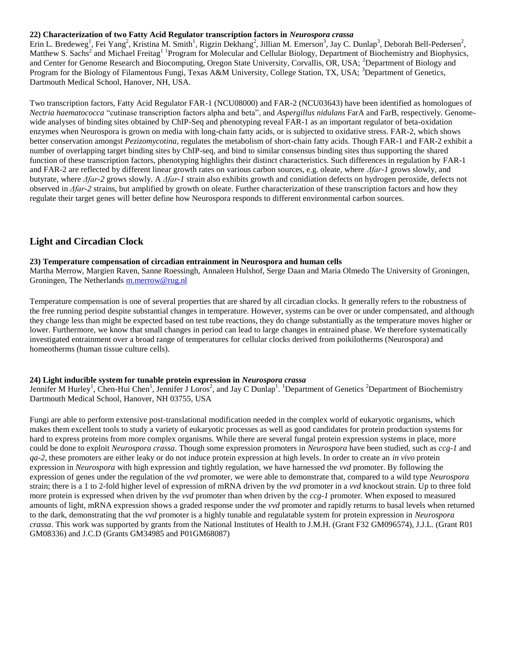#### **22) Characterization of two Fatty Acid Regulator transcription factors in** *Neurospora crassa*

Erin L. Bredeweg<sup>1</sup>, Fei Yang<sup>2</sup>, Kristina M. Smith<sup>1</sup>, Rigzin Dekhang<sup>2</sup>, Jillian M. Emerson<sup>3</sup>, Jay C. Dunlap<sup>3</sup>, Deborah Bell-Pedersen<sup>2</sup>, Matthew S. Sachs<sup>2</sup> and Michael Freitag<sup>11</sup> Program for Molecular and Cellular Biology, Department of Biochemistry and Biophysics, and Center for Genome Research and Biocomputing, Oregon State University, Corvallis, OR, USA; <sup>2</sup>Department of Biology and Program for the Biology of Filamentous Fungi, Texas A&M University, College Station, TX, USA; <sup>3</sup>Department of Genetics, Dartmouth Medical School, Hanover, NH, USA.

Two transcription factors, Fatty Acid Regulator FAR-1 (NCU08000) and FAR-2 (NCU03643) have been identified as homologues of *Nectria haematococca* "cutinase transcription factors alpha and beta", and *Aspergillus nidulans* FarA and FarB, respectively. Genomewide analyses of binding sites obtained by ChIP-Seq and phenotyping reveal FAR-1 as an important regulator of beta-oxidation enzymes when Neurospora is grown on media with long-chain fatty acids, or is subjected to oxidative stress. FAR-2, which shows better conservation amongst *Pezizomycotina*, regulates the metabolism of short-chain fatty acids. Though FAR-1 and FAR-2 exhibit a number of overlapping target binding sites by ChIP-seq, and bind to similar consensus binding sites thus supporting the shared function of these transcription factors, phenotyping highlights their distinct characteristics. Such differences in regulation by FAR-1 and FAR-2 are reflected by different linear growth rates on various carbon sources, e.g. oleate, where *Δfar-1* grows slowly, and butyrate, where *Δfar-2* grows slowly. A *Δfar-1* strain also exhibits growth and conidiation defects on hydrogen peroxide, defects not observed in *Δfar-2* strains, but amplified by growth on oleate. Further characterization of these transcription factors and how they regulate their target genes will better define how Neurospora responds to different environmental carbon sources.

#### **Light and Circadian Clock**

#### **23) Temperature compensation of circadian entrainment in Neurospora and human cells**

Martha Merrow, Margien Raven, Sanne Roessingh, Annaleen Hulshof, Serge Daan and Maria Olmedo The University of Groningen, Groningen, The Netherlands [m.merrow@rug.nl](mailto:m.merrow@rug.nl)

Temperature compensation is one of several properties that are shared by all circadian clocks. It generally refers to the robustness of the free running period despite substantial changes in temperature. However, systems can be over or under compensated, and although they change less than might be expected based on test tube reactions, they do change substantially as the temperature moves higher or lower. Furthermore, we know that small changes in period can lead to large changes in entrained phase. We therefore systematically investigated entrainment over a broad range of temperatures for cellular clocks derived from poikilotherms (Neurospora) and homeotherms (human tissue culture cells).

#### **24) Light inducible system for tunable protein expression in** *Neurospora crassa*

Jennifer M Hurley<sup>1</sup>, Chen-Hui Chen<sup>1</sup>, Jennifer J Loros<sup>2</sup>, and Jay C Dunlap<sup>1</sup>. <sup>1</sup>Department of Genetics <sup>2</sup>Department of Biochemistry Dartmouth Medical School, Hanover, NH 03755, USA

Fungi are able to perform extensive post-translational modification needed in the complex world of eukaryotic organisms, which makes them excellent tools to study a variety of eukaryotic processes as well as good candidates for protein production systems for hard to express proteins from more complex organisms. While there are several fungal protein expression systems in place, more could be done to exploit *Neurospora crassa*. Though some expression promoters in *Neurospora* have been studied, such as *ccg-1* and *qa-2*, these promoters are either leaky or do not induce protein expression at high levels. In order to create an *in vivo* protein expression in *Neurospora* with high expression and tightly regulation, we have harnessed the *vvd* promoter. By following the expression of genes under the regulation of the *vvd* promoter, we were able to demonstrate that, compared to a wild type *Neurospora* strain; there is a 1 to 2-fold higher level of expression of mRNA driven by the *vvd* promoter in a *vvd* knockout strain. Up to three fold more protein is expressed when driven by the *vvd* promoter than when driven by the *ccg-1* promoter. When exposed to measured amounts of light, mRNA expression shows a graded response under the *vvd* promoter and rapidly returns to basal levels when returned to the dark, demonstrating that the *vvd* promoter is a highly tunable and regulatable system for protein expression in *Neurospora crassa*. This work was supported by grants from the National Institutes of Health to J.M.H. (Grant F32 GM096574), J.J.L. (Grant R01 GM08336) and J.C.D (Grants GM34985 and P01GM68087)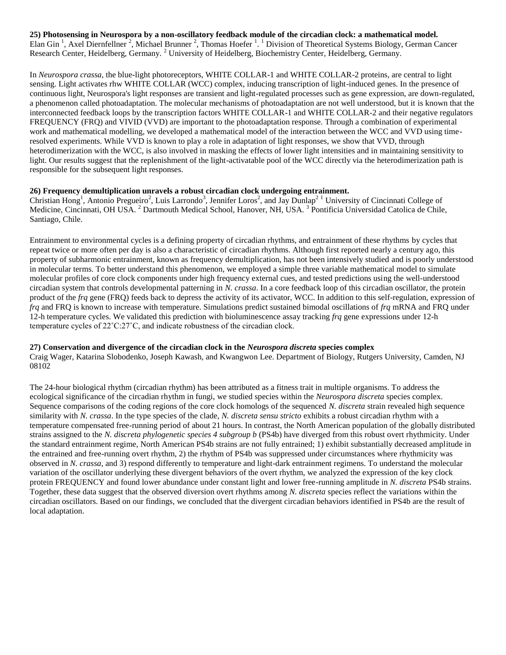**25) Photosensing in Neurospora by a non-oscillatory feedback module of the circadian clock: a mathematical model.** Elan Gin<sup>1</sup>, Axel Diernfellner<sup>2</sup>, Michael Brunner<sup>2</sup>, Thomas Hoefer<sup>1</sup>.<sup>1</sup> Division of Theoretical Systems Biology, German Cancer Research Center, Heidelberg, Germany. <sup>2</sup> University of Heidelberg, Biochemistry Center, Heidelberg, Germany.

In *Neurospora crassa*, the blue-light photoreceptors, WHITE COLLAR-1 and WHITE COLLAR-2 proteins, are central to light sensing. Light activates rhw WHITE COLLAR (WCC) complex, inducing transcription of light-induced genes. In the presence of continuous light, Neurospora's light responses are transient and light-regulated processes such as gene expression, are down-regulated, a phenomenon called photoadaptation. The molecular mechanisms of photoadaptation are not well understood, but it is known that the interconnected feedback loops by the transcription factors WHITE COLLAR-1 and WHITE COLLAR-2 and their negative regulators FREQUENCY (FRQ) and VIVID (VVD) are important to the photoadaptation response. Through a combination of experimental work and mathematical modelling, we developed a mathematical model of the interaction between the WCC and VVD using timeresolved experiments. While VVD is known to play a role in adaptation of light responses, we show that VVD, through heterodimerization with the WCC, is also involved in masking the effects of lower light intensities and in maintaining sensitivity to light. Our results suggest that the replenishment of the light-activatable pool of the WCC directly via the heterodimerization path is responsible for the subsequent light responses.

#### **26) Frequency demultiplication unravels a robust circadian clock undergoing entrainment.**

Christian Hong<sup>1</sup>, Antonio Pregueiro<sup>2</sup>, Luis Larrondo<sup>3</sup>, Jennifer Loros<sup>2</sup>, and Jay Dunlap<sup>21</sup> University of Cincinnati College of Medicine, Cincinnati, OH USA. <sup>2</sup> Dartmouth Medical School, Hanover, NH, USA. <sup>3</sup> Pontificia Universidad Catolica de Chile, Santiago, Chile.

Entrainment to environmental cycles is a defining property of circadian rhythms, and entrainment of these rhythms by cycles that repeat twice or more often per day is also a characteristic of circadian rhythms. Although first reported nearly a century ago, this property of subharmonic entrainment, known as frequency demultiplication, has not been intensively studied and is poorly understood in molecular terms. To better understand this phenomenon, we employed a simple three variable mathematical model to simulate molecular profiles of core clock components under high frequency external cues, and tested predictions using the well-understood circadian system that controls developmental patterning in *N. crassa*. In a core feedback loop of this circadian oscillator, the protein product of the *frq* gene (FRQ) feeds back to depress the activity of its activator, WCC. In addition to this self-regulation, expression of *frq* and FRQ is known to increase with temperature. Simulations predict sustained bimodal oscillations of *frq* mRNA and FRQ under 12-h temperature cycles. We validated this prediction with bioluminescence assay tracking *frq* gene expressions under 12-h temperature cycles of 22˚C:27˚C, and indicate robustness of the circadian clock.

#### **27) Conservation and divergence of the circadian clock in the** *Neurospora discreta* **species complex**

Craig Wager, Katarina Slobodenko, Joseph Kawash, and Kwangwon Lee. Department of Biology, Rutgers University, Camden, NJ 08102

The 24-hour biological rhythm (circadian rhythm) has been attributed as a fitness trait in multiple organisms. To address the ecological significance of the circadian rhythm in fungi, we studied species within the *Neurospora discreta* species complex. Sequence comparisons of the coding regions of the core clock homologs of the sequenced *N. discreta* strain revealed high sequence similarity with *N. crassa*. In the type species of the clade, *N. discreta sensu stricto* exhibits a robust circadian rhythm with a temperature compensated free-running period of about 21 hours. In contrast, the North American population of the globally distributed strains assigned to the *N. discreta phylogenetic species 4 subgroup b* (PS4b) have diverged from this robust overt rhythmicity. Under the standard entrainment regime, North American PS4b strains are not fully entrained; 1) exhibit substantially decreased amplitude in the entrained and free-running overt rhythm, 2) the rhythm of PS4b was suppressed under circumstances where rhythmicity was observed in *N. crassa*, and 3) respond differently to temperature and light-dark entrainment regimens. To understand the molecular variation of the oscillator underlying these divergent behaviors of the overt rhythm, we analyzed the expression of the key clock protein FREQUENCY and found lower abundance under constant light and lower free-running amplitude in *N. discreta* PS4b strains. Together, these data suggest that the observed diversion overt rhythms among *N. discreta* species reflect the variations within the circadian oscillators. Based on our findings, we concluded that the divergent circadian behaviors identified in PS4b are the result of local adaptation.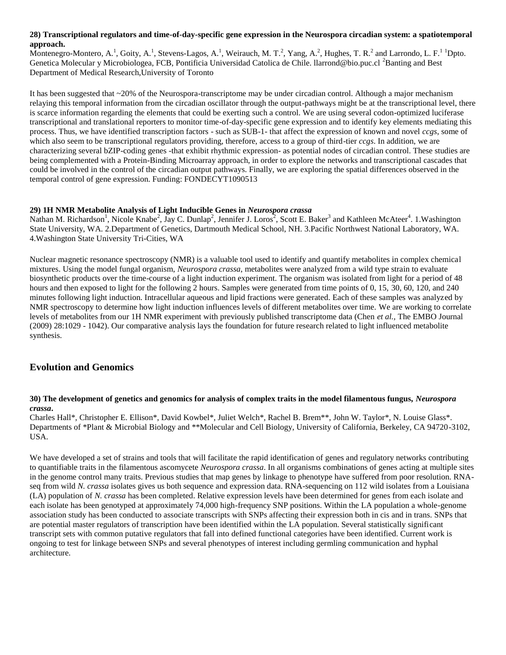#### **28) Transcriptional regulators and time-of-day-specific gene expression in the Neurospora circadian system: a spatiotemporal approach.**

Montenegro-Montero, A.<sup>1</sup>, Goity, A.<sup>1</sup>, Stevens-Lagos, A.<sup>1</sup>, Weirauch, M. T.<sup>2</sup>, Yang, A.<sup>2</sup>, Hughes, T. R.<sup>2</sup> and Larrondo, L. F.<sup>1</sup> <sup>1</sup>Dpto. Genetica Molecular y Microbiologea, FCB, Pontificia Universidad Catolica de Chile. llarrond@bio.puc.cl <sup>2</sup>Banting and Best Department of Medical Research,University of Toronto

It has been suggested that ~20% of the Neurospora-transcriptome may be under circadian control. Although a major mechanism relaying this temporal information from the circadian oscillator through the output-pathways might be at the transcriptional level, there is scarce information regarding the elements that could be exerting such a control. We are using several codon-optimized luciferase transcriptional and translational reporters to monitor time-of-day-specific gene expression and to identify key elements mediating this process. Thus, we have identified transcription factors - such as SUB-1- that affect the expression of known and novel *ccgs*, some of which also seem to be transcriptional regulators providing, therefore, access to a group of third-tier *ccgs*. In addition, we are characterizing several bZIP-coding genes -that exhibit rhythmic expression- as potential nodes of circadian control. These studies are being complemented with a Protein-Binding Microarray approach, in order to explore the networks and transcriptional cascades that could be involved in the control of the circadian output pathways. Finally, we are exploring the spatial differences observed in the temporal control of gene expression. Funding: FONDECYT1090513

#### **29) 1H NMR Metabolite Analysis of Light Inducible Genes in** *Neurospora crassa*

Nathan M. Richardson<sup>1</sup>, Nicole Knabe<sup>2</sup>, Jay C. Dunlap<sup>2</sup>, Jennifer J. Loros<sup>2</sup>, Scott E. Baker<sup>3</sup> and Kathleen McAteer<sup>4</sup>. 1. Washington State University, WA. 2.Department of Genetics, Dartmouth Medical School, NH. 3.Pacific Northwest National Laboratory, WA. 4.Washington State University Tri-Cities, WA

Nuclear magnetic resonance spectroscopy (NMR) is a valuable tool used to identify and quantify metabolites in complex chemical mixtures. Using the model fungal organism, *Neurospora crassa*, metabolites were analyzed from a wild type strain to evaluate biosynthetic products over the time-course of a light induction experiment. The organism was isolated from light for a period of 48 hours and then exposed to light for the following 2 hours. Samples were generated from time points of 0, 15, 30, 60, 120, and 240 minutes following light induction. Intracellular aqueous and lipid fractions were generated. Each of these samples was analyzed by NMR spectroscopy to determine how light induction influences levels of different metabolites over time. We are working to correlate levels of metabolites from our 1H NMR experiment with previously published transcriptome data (Chen *et al.,* The EMBO Journal (2009) 28:1029 - 1042). Our comparative analysis lays the foundation for future research related to light influenced metabolite synthesis.

#### **Evolution and Genomics**

#### **30) The development of genetics and genomics for analysis of complex traits in the model filamentous fungus,** *Neurospora crassa***.**

Charles Hall\*, Christopher E. Ellison\*, David Kowbel\*, Juliet Welch\*, Rachel B. Brem\*\*, John W. Taylor\*, N. Louise Glass\*. Departments of \*Plant & Microbial Biology and \*\*Molecular and Cell Biology, University of California, Berkeley, CA 94720-3102, USA.

We have developed a set of strains and tools that will facilitate the rapid identification of genes and regulatory networks contributing to quantifiable traits in the filamentous ascomycete *Neurospora crassa*. In all organisms combinations of genes acting at multiple sites in the genome control many traits. Previous studies that map genes by linkage to phenotype have suffered from poor resolution. RNAseq from wild *N. crassa* isolates gives us both sequence and expression data. RNA-sequencing on 112 wild isolates from a Louisiana (LA) population of *N. crassa* has been completed. Relative expression levels have been determined for genes from each isolate and each isolate has been genotyped at approximately 74,000 high-frequency SNP positions. Within the LA population a whole-genome association study has been conducted to associate transcripts with SNPs affecting their expression both in cis and in trans. SNPs that are potential master regulators of transcription have been identified within the LA population. Several statistically significant transcript sets with common putative regulators that fall into defined functional categories have been identified. Current work is ongoing to test for linkage between SNPs and several phenotypes of interest including germling communication and hyphal architecture.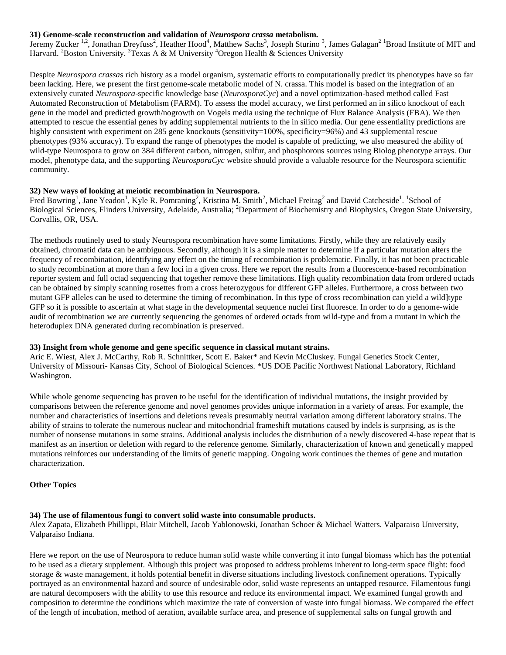#### **31) Genome-scale reconstruction and validation of** *Neurospora crassa* **metabolism.**

Jeremy Zucker <sup>1,2</sup>, Jonathan Dreyfuss<sup>2</sup>, Heather Hood<sup>4</sup>, Matthew Sachs<sup>3</sup>, Joseph Sturino<sup>3</sup>, James Galagan<sup>2 1</sup>Broad Institute of MIT and Harvard. <sup>2</sup>Boston University. <sup>3</sup>Texas A & M University <sup>4</sup>Oregon Health & Sciences University

Despite *Neurospora crassa*s rich history as a model organism, systematic efforts to computationally predict its phenotypes have so far been lacking. Here, we present the first genome-scale metabolic model of N. crassa. This model is based on the integration of an extensively curated *Neurospora*-specific knowledge base (*NeurosporaCyc*) and a novel optimization-based method called Fast Automated Reconstruction of Metabolism (FARM). To assess the model accuracy, we first performed an in silico knockout of each gene in the model and predicted growth/nogrowth on Vogels media using the technique of Flux Balance Analysis (FBA). We then attempted to rescue the essential genes by adding supplemental nutrients to the in silico media. Our gene essentiality predictions are highly consistent with experiment on 285 gene knockouts (sensitivity=100%, specificity=96%) and 43 supplemental rescue phenotypes (93% accuracy). To expand the range of phenotypes the model is capable of predicting, we also measured the ability of wild-type Neurospora to grow on 384 different carbon, nitrogen, sulfur, and phosphorous sources using Biolog phenotype arrays. Our model, phenotype data, and the supporting *NeurosporaCyc* website should provide a valuable resource for the Neurospora scientific community.

#### **32) New ways of looking at meiotic recombination in Neurospora.**

Fred Bowring<sup>1</sup>, Jane Yeadon<sup>1</sup>, Kyle R. Pomraning<sup>2</sup>, Kristina M. Smith<sup>2</sup>, Michael Freitag<sup>2</sup> and David Catcheside<sup>1</sup>. <sup>1</sup>School of Biological Sciences, Flinders University, Adelaide, Australia; <sup>2</sup>Department of Biochemistry and Biophysics, Oregon State University, Corvallis, OR, USA.

The methods routinely used to study Neurospora recombination have some limitations. Firstly, while they are relatively easily obtained, chromatid data can be ambiguous. Secondly, although it is a simple matter to determine if a particular mutation alters the frequency of recombination, identifying any effect on the timing of recombination is problematic. Finally, it has not been practicable to study recombination at more than a few loci in a given cross. Here we report the results from a fluorescence-based recombination reporter system and full octad sequencing that together remove these limitations. High quality recombination data from ordered octads can be obtained by simply scanning rosettes from a cross heterozygous for different GFP alleles. Furthermore, a cross between two mutant GFP alleles can be used to determine the timing of recombination. In this type of cross recombination can yield a wild]type GFP so it is possible to ascertain at what stage in the developmental sequence nuclei first fluoresce. In order to do a genome-wide audit of recombination we are currently sequencing the genomes of ordered octads from wild-type and from a mutant in which the heteroduplex DNA generated during recombination is preserved.

#### **33) Insight from whole genome and gene specific sequence in classical mutant strains.**

Aric E. Wiest, Alex J. McCarthy, Rob R. Schnittker, Scott E. Baker\* and Kevin McCluskey. Fungal Genetics Stock Center, University of Missouri- Kansas City, School of Biological Sciences. \*US DOE Pacific Northwest National Laboratory, Richland Washington.

While whole genome sequencing has proven to be useful for the identification of individual mutations, the insight provided by comparisons between the reference genome and novel genomes provides unique information in a variety of areas. For example, the number and characteristics of insertions and deletions reveals presumably neutral variation among different laboratory strains. The ability of strains to tolerate the numerous nuclear and mitochondrial frameshift mutations caused by indels is surprising, as is the number of nonsense mutations in some strains. Additional analysis includes the distribution of a newly discovered 4-base repeat that is manifest as an insertion or deletion with regard to the reference genome. Similarly, characterization of known and genetically mapped mutations reinforces our understanding of the limits of genetic mapping. Ongoing work continues the themes of gene and mutation characterization.

#### **Other Topics**

#### **34) The use of filamentous fungi to convert solid waste into consumable products.**

Alex Zapata, Elizabeth Phillippi, Blair Mitchell, Jacob Yablonowski, Jonathan Schoer & Michael Watters. Valparaiso University, Valparaiso Indiana.

Here we report on the use of Neurospora to reduce human solid waste while converting it into fungal biomass which has the potential to be used as a dietary supplement. Although this project was proposed to address problems inherent to long-term space flight: food storage & waste management, it holds potential benefit in diverse situations including livestock confinement operations. Typically portrayed as an environmental hazard and source of undesirable odor, solid waste represents an untapped resource. Filamentous fungi are natural decomposers with the ability to use this resource and reduce its environmental impact. We examined fungal growth and composition to determine the conditions which maximize the rate of conversion of waste into fungal biomass. We compared the effect of the length of incubation, method of aeration, available surface area, and presence of supplemental salts on fungal growth and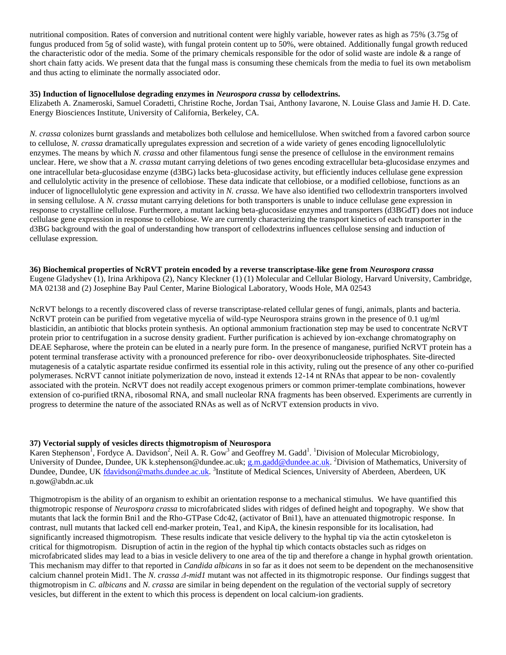nutritional composition. Rates of conversion and nutritional content were highly variable, however rates as high as 75% (3.75g of fungus produced from 5g of solid waste), with fungal protein content up to 50%, were obtained. Additionally fungal growth reduced the characteristic odor of the media. Some of the primary chemicals responsible for the odor of solid waste are indole & a range of short chain fatty acids. We present data that the fungal mass is consuming these chemicals from the media to fuel its own metabolism and thus acting to eliminate the normally associated odor.

#### **35) Induction of lignocellulose degrading enzymes in** *Neurospora crassa* **by cellodextrins.**

Elizabeth A. Znameroski, Samuel Coradetti, Christine Roche, Jordan Tsai, Anthony Iavarone, N. Louise Glass and Jamie H. D. Cate. Energy Biosciences Institute, University of California, Berkeley, CA.

*N. crassa* colonizes burnt grasslands and metabolizes both cellulose and hemicellulose. When switched from a favored carbon source to cellulose, *N. crassa* dramatically upregulates expression and secretion of a wide variety of genes encoding lignocellulolytic enzymes. The means by which *N. crassa* and other filamentous fungi sense the presence of cellulose in the environment remains unclear. Here, we show that a *N. crassa* mutant carrying deletions of two genes encoding extracellular beta-glucosidase enzymes and one intracellular beta-glucosidase enzyme (d3BG) lacks beta‐glucosidase activity, but efficiently induces cellulase gene expression and cellulolytic activity in the presence of cellobiose. These data indicate that cellobiose, or a modified cellobiose, functions as an inducer of lignocellulolytic gene expression and activity in *N. crassa*. We have also identified two cellodextrin transporters involved in sensing cellulose. A *N. crassa* mutant carrying deletions for both transporters is unable to induce cellulase gene expression in response to crystalline cellulose. Furthermore, a mutant lacking beta-glucosidase enzymes and transporters (d3BGdT) does not induce cellulase gene expression in response to cellobiose. We are currently characterizing the transport kinetics of each transporter in the d3BG background with the goal of understanding how transport of cellodextrins influences cellulose sensing and induction of cellulase expression.

**36) Biochemical properties of NcRVT protein encoded by a reverse transcriptase-like gene from** *Neurospora crassa* Eugene Gladyshev (1), Irina Arkhipova (2), Nancy Kleckner (1) (1) Molecular and Cellular Biology, Harvard University, Cambridge, MA 02138 and (2) Josephine Bay Paul Center, Marine Biological Laboratory, Woods Hole, MA 02543

NcRVT belongs to a recently discovered class of reverse transcriptase-related cellular genes of fungi, animals, plants and bacteria. NcRVT protein can be purified from vegetative mycelia of wild-type Neurospora strains grown in the presence of 0.1 ug/ml blasticidin, an antibiotic that blocks protein synthesis. An optional ammonium fractionation step may be used to concentrate NcRVT protein prior to centrifugation in a sucrose density gradient. Further purification is achieved by ion-exchange chromatography on DEAE Sepharose, where the protein can be eluted in a nearly pure form. In the presence of manganese, purified NcRVT protein has a potent terminal transferase activity with a pronounced preference for ribo- over deoxyribonucleoside triphosphates. Site-directed mutagenesis of a catalytic aspartate residue confirmed its essential role in this activity, ruling out the presence of any other co-purified polymerases. NcRVT cannot initiate polymerization de novo, instead it extends 12-14 nt RNAs that appear to be non- covalently associated with the protein. NcRVT does not readily accept exogenous primers or common primer-template combinations, however extension of co-purified tRNA, ribosomal RNA, and small nucleolar RNA fragments has been observed. Experiments are currently in progress to determine the nature of the associated RNAs as well as of NcRVT extension products in vivo.

#### **37) Vectorial supply of vesicles directs thigmotropism of Neurospora**

Karen Stephenson<sup>1</sup>, Fordyce A. Davidson<sup>2</sup>, Neil A. R. Gow<sup>3</sup> and Geoffrey M. Gadd<sup>1</sup>. <sup>1</sup>Division of Molecular Microbiology, University of Dundee, Dundee, UK k.stephenson@dundee.ac.uk; [g.m.gadd@dundee.ac.uk.](mailto:g.m.gadd@dundee.ac.uk) <sup>2</sup>Division of Mathematics, University of Dundee, Dundee, UK *fdavidson@maths.dundee.ac.uk.* <sup>3</sup>Institute of Medical Sciences, University of Aberdeen, Aberdeen, UK n.gow@abdn.ac.uk

Thigmotropism is the ability of an organism to exhibit an orientation response to a mechanical stimulus. We have quantified this thigmotropic response of *Neurospora crassa* to microfabricated slides with ridges of defined height and topography. We show that mutants that lack the formin Bni1 and the Rho-GTPase Cdc42, (activator of Bni1), have an attenuated thigmotropic response. In contrast, null mutants that lacked cell end-marker protein, Tea1, and KipA, the kinesin responsible for its localisation, had significantly increased thigmotropism. These results indicate that vesicle delivery to the hyphal tip via the actin cytoskeleton is critical for thigmotropism. Disruption of actin in the region of the hyphal tip which contacts obstacles such as ridges on microfabricated slides may lead to a bias in vesicle delivery to one area of the tip and therefore a change in hyphal growth orientation. This mechanism may differ to that reported in *Candida albicans* in so far as it does not seem to be dependent on the mechanosensitive calcium channel protein Mid1. The *N. crassa Δ-mid1* mutant was not affected in its thigmotropic response. Our findings suggest that thigmotropism in *C. albicans* and *N. crassa* are similar in being dependent on the regulation of the vectorial supply of secretory vesicles, but different in the extent to which this process is dependent on local calcium-ion gradients.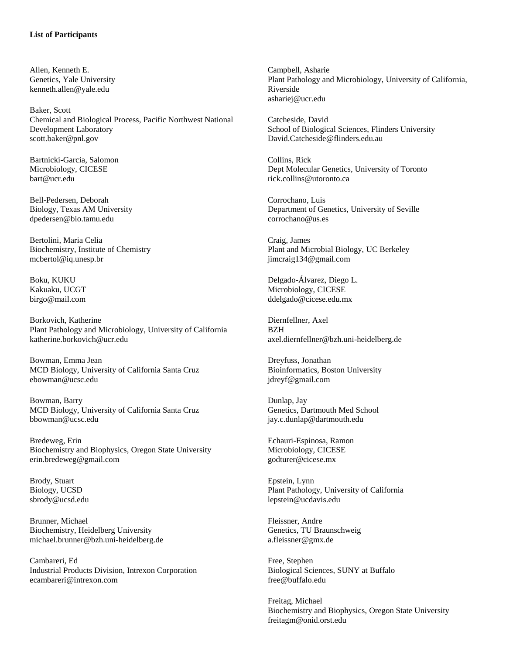#### **List of Participants**

Allen, Kenneth E. Genetics, Yale University kenneth.allen@yale.edu

Baker, Scott Chemical and Biological Process, Pacific Northwest National Development Laboratory scott.baker@pnl.gov

Bartnicki-Garcia, Salomon Microbiology, CICESE bart@ucr.edu

Bell-Pedersen, Deborah Biology, Texas AM University dpedersen@bio.tamu.edu

Bertolini, Maria Celia Biochemistry, Institute of Chemistry mcbertol@iq.unesp.br

Boku, KUKU Kakuaku, UCGT birgo@mail.com

Borkovich, Katherine Plant Pathology and Microbiology, University of California katherine.borkovich@ucr.edu

Bowman, Emma Jean MCD Biology, University of California Santa Cruz ebowman@ucsc.edu

Bowman, Barry MCD Biology, University of California Santa Cruz bbowman@ucsc.edu

Bredeweg, Erin Biochemistry and Biophysics, Oregon State University erin.bredeweg@gmail.com

Brody, Stuart Biology, UCSD sbrody@ucsd.edu

Brunner, Michael Biochemistry, Heidelberg University michael.brunner@bzh.uni-heidelberg.de

Cambareri, Ed Industrial Products Division, Intrexon Corporation ecambareri@intrexon.com

Campbell, Asharie Plant Pathology and Microbiology, University of California, Riverside ashariej@ucr.edu

Catcheside, David School of Biological Sciences, Flinders University David.Catcheside@flinders.edu.au

Collins, Rick Dept Molecular Genetics, University of Toronto rick.collins@utoronto.ca

Corrochano, Luis Department of Genetics, University of Seville corrochano@us.es

Craig, James Plant and Microbial Biology, UC Berkeley jimcraig134@gmail.com

Delgado-Álvarez, Diego L. Microbiology, CICESE ddelgado@cicese.edu.mx

Diernfellner, Axel BZH axel.diernfellner@bzh.uni-heidelberg.de

Dreyfuss, Jonathan Bioinformatics, Boston University jdreyf@gmail.com

Dunlap, Jay Genetics, Dartmouth Med School jay.c.dunlap@dartmouth.edu

Echauri-Espinosa, Ramon Microbiology, CICESE godturer@cicese.mx

Epstein, Lynn Plant Pathology, University of California lepstein@ucdavis.edu

Fleissner, Andre Genetics, TU Braunschweig a.fleissner@gmx.de

Free, Stephen Biological Sciences, SUNY at Buffalo free@buffalo.edu

Freitag, Michael Biochemistry and Biophysics, Oregon State University freitagm@onid.orst.edu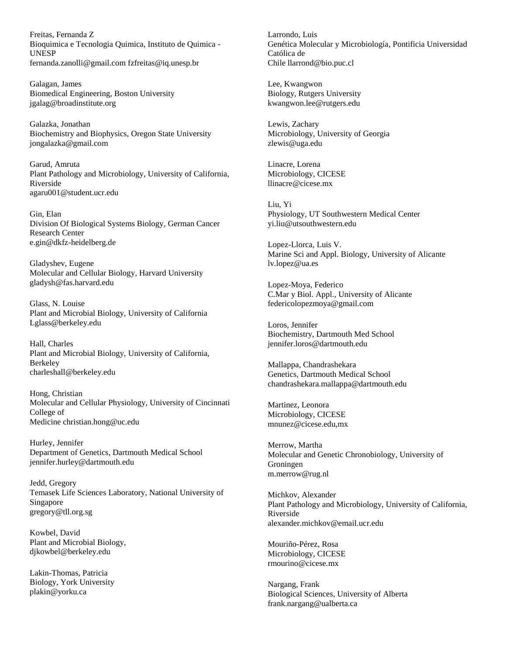Freitas, Fernanda Z Bioquimica e Tecnologia Quimica, Instituto de Quimica - UNESP fernanda.zanolli@gmail.com fzfreitas@iq.unesp.br

Galagan, James Biomedical Engineering, Boston University jgalag@broadinstitute.org

Galazka, Jonathan Biochemistry and Biophysics, Oregon State University jongalazka@gmail.com

Garud, Amruta Plant Pathology and Microbiology, University of California, Riverside agaru001@student.ucr.edu

Gin, Elan Division Of Biological Systems Biology, German Cancer Research Center e.gin@dkfz-heidelberg.de

Gladyshev, Eugene Molecular and Cellular Biology, Harvard University gladysh@fas.harvard.edu

Glass, N. Louise Plant and Microbial Biology, University of California Lglass@berkeley.edu

Hall, Charles Plant and Microbial Biology, University of California, Berkeley charleshall@berkeley.edu

Hong, Christian Molecular and Cellular Physiology, University of Cincinnati College of Medicine christian.hong@uc.edu

Hurley, Jennifer Department of Genetics, Dartmouth Medical School jennifer.hurley@dartmouth.edu

Jedd, Gregory Temasek Life Sciences Laboratory, National University of Singapore gregory@tll.org.sg

Kowbel, David Plant and Microbial Biology, djkowbel@berkeley.edu

Lakin-Thomas, Patricia Biology, York University plakin@yorku.ca

Larrondo, Luis Genética Molecular y Microbiología, Pontificia Universidad Católica de Chile llarrond@bio.puc.cl

Lee, Kwangwon Biology, Rutgers University kwangwon.lee@rutgers.edu

Lewis, Zachary Microbiology, University of Georgia zlewis@uga.edu

Linacre, Lorena Microbiology, CICESE llinacre@cicese.mx

Liu, Yi Physiology, UT Southwestern Medical Center yi.liu@utsouthwestern.edu

Lopez-Llorca, Luis V. Marine Sci and Appl. Biology, University of Alicante lv.lopez@ua.es

Lopez-Moya, Federico C.Mar y Biol. Appl., University of Alicante federicolopezmoya@gmail.com

Loros, Jennifer Biochemistry, Dartmouth Med School jennifer.loros@dartmouth.edu

Mallappa, Chandrashekara Genetics, Dartmouth Medical School chandrashekara.mallappa@dartmouth.edu

Martinez, Leonora Microbiology, CICESE mnunez@cicese.edu,mx

Merrow, Martha Molecular and Genetic Chronobiology, University of Groningen m.merrow@rug.nl

Michkov, Alexander Plant Pathology and Microbiology, University of California, Riverside alexander.michkov@email.ucr.edu

Mouriño-Pérez, Rosa Microbiology, CICESE rmourino@cicese.mx

Nargang, Frank Biological Sciences, University of Alberta frank.nargang@ualberta.ca